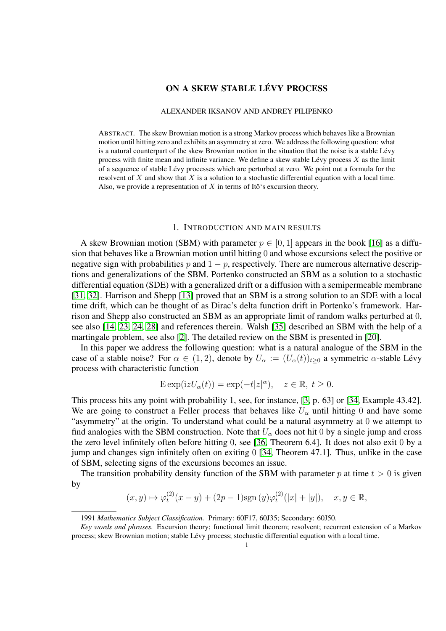# ON A SKEW STABLE LÉVY PROCESS

# ALEXANDER IKSANOV AND ANDREY PILIPENKO

ABSTRACT. The skew Brownian motion is a strong Markov process which behaves like a Brownian motion until hitting zero and exhibits an asymmetry at zero. We address the following question: what is a natural counterpart of the skew Brownian motion in the situation that the noise is a stable Lévy process with finite mean and infinite variance. We define a skew stable Lévy process  $X$  as the limit of a sequence of stable Lévy processes which are perturbed at zero. We point out a formula for the resolvent of X and show that X is a solution to a stochastic differential equation with a local time. Also, we provide a representation of X in terms of Itô's excursion theory.

### 1. INTRODUCTION AND MAIN RESULTS

<span id="page-0-0"></span>A skew Brownian motion (SBM) with parameter  $p \in [0, 1]$  appears in the book [\[16\]](#page-21-0) as a diffusion that behaves like a Brownian motion until hitting 0 and whose excursions select the positive or negative sign with probabilities p and  $1 - p$ , respectively. There are numerous alternative descriptions and generalizations of the SBM. Portenko constructed an SBM as a solution to a stochastic differential equation (SDE) with a generalized drift or a diffusion with a semipermeable membrane [\[31,](#page-21-1) [32\]](#page-21-2). Harrison and Shepp [\[13\]](#page-21-3) proved that an SBM is a strong solution to an SDE with a local time drift, which can be thought of as Dirac's delta function drift in Portenko's framework. Harrison and Shepp also constructed an SBM as an appropriate limit of random walks perturbed at 0, see also [\[14,](#page-21-4) [23,](#page-21-5) [24,](#page-21-6) [28\]](#page-21-7) and references therein. Walsh [\[35\]](#page-21-8) described an SBM with the help of a martingale problem, see also [\[2\]](#page-20-0). The detailed review on the SBM is presented in [\[20\]](#page-21-9).

In this paper we address the following question: what is a natural analogue of the SBM in the case of a stable noise? For  $\alpha \in (1, 2)$ , denote by  $U_{\alpha} := (U_{\alpha}(t))_{t>0}$  a symmetric  $\alpha$ -stable Lévy process with characteristic function

$$
\operatorname{E} \exp(\mathrm{i} z U_{\alpha}(t)) = \exp(-t|z|^{\alpha}), \quad z \in \mathbb{R}, \ t \ge 0.
$$

This process hits any point with probability 1, see, for instance, [\[3,](#page-20-1) p. 63] or [\[34,](#page-21-10) Example 43.42]. We are going to construct a Feller process that behaves like  $U_{\alpha}$  until hitting 0 and have some "asymmetry" at the origin. To understand what could be a natural asymmetry at 0 we attempt to find analogies with the SBM construction. Note that  $U_\alpha$  does not hit 0 by a single jump and cross the zero level infinitely often before hitting 0, see [\[36,](#page-21-11) Theorem 6.4]. It does not also exit 0 by a jump and changes sign infinitely often on exiting 0 [\[34,](#page-21-10) Theorem 47.1]. Thus, unlike in the case of SBM, selecting signs of the excursions becomes an issue.

The transition probability density function of the SBM with parameter p at time  $t > 0$  is given by

$$
(x, y) \mapsto \varphi_t^{(2)}(x - y) + (2p - 1)\text{sgn}(y)\varphi_t^{(2)}(|x| + |y|), \quad x, y \in \mathbb{R},
$$

<sup>1991</sup> *Mathematics Subject Classification.* Primary: 60F17, 60J35; Secondary: 60J50.

*Key words and phrases.* Excursion theory; functional limit theorem; resolvent; recurrent extension of a Markov process; skew Brownian motion; stable Lévy process; stochastic differential equation with a local time.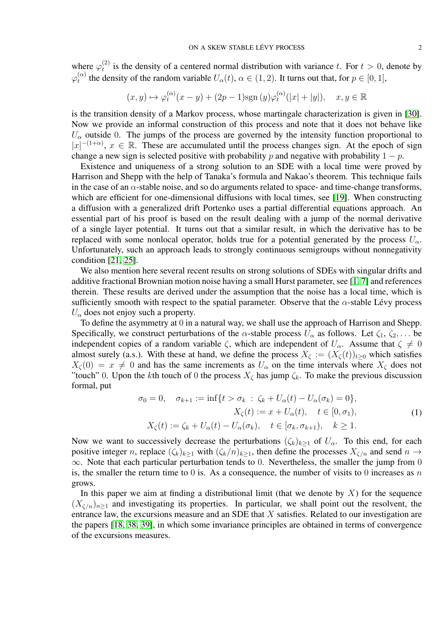where  $\varphi_t^{(2)}$  $t<sup>(2)</sup>$  is the density of a centered normal distribution with variance t. For  $t > 0$ , denote by  $\varphi_t^{(\alpha)}$  $t_t^{(\alpha)}$  the density of the random variable  $U_{\alpha}(t)$ ,  $\alpha \in (1, 2)$ . It turns out that, for  $p \in [0, 1]$ ,

$$
(x, y) \mapsto \varphi_t^{(\alpha)}(x - y) + (2p - 1)\text{sgn}(y)\varphi_t^{(\alpha)}(|x| + |y|), \quad x, y \in \mathbb{R}
$$

is the transition density of a Markov process, whose martingale characterization is given in [\[30\]](#page-21-12). Now we provide an informal construction of this process and note that it does not behave like  $U_{\alpha}$  outside 0. The jumps of the process are governed by the intensity function proportional to  $|x|^{-(1+\alpha)}$ ,  $x \in \mathbb{R}$ . These are accumulated until the process changes sign. At the epoch of sign change a new sign is selected positive with probability p and negative with probability  $1 - p$ .

Existence and uniqueness of a strong solution to an SDE with a local time were proved by Harrison and Shepp with the help of Tanaka's formula and Nakao's theorem. This technique fails in the case of an  $\alpha$ -stable noise, and so do arguments related to space- and time-change transforms, which are efficient for one-dimensional diffusions with local times, see [\[19\]](#page-21-13). When constructing a diffusion with a generalized drift Portenko uses a partial differential equations approach. An essential part of his proof is based on the result dealing with a jump of the normal derivative of a single layer potential. It turns out that a similar result, in which the derivative has to be replaced with some nonlocal operator, holds true for a potential generated by the process  $U_{\alpha}$ . Unfortunately, such an approach leads to strongly continuous semigroups without nonnegativity condition [\[21,](#page-21-14) [25\]](#page-21-15).

We also mention here several recent results on strong solutions of SDEs with singular drifts and additive fractional Brownian motion noise having a small Hurst parameter, see [\[1,](#page-20-2) [7\]](#page-21-16) and references therein. These results are derived under the assumption that the noise has a local time, which is sufficiently smooth with respect to the spatial parameter. Observe that the  $\alpha$ -stable Lévy process  $U_{\alpha}$  does not enjoy such a property.

To define the asymmetry at 0 in a natural way, we shall use the approach of Harrison and Shepp. Specifically, we construct perturbations of the  $\alpha$ -stable process  $U_{\alpha}$  as follows. Let  $\zeta_1, \zeta_2, \ldots$  be independent copies of a random variable  $\zeta$ , which are independent of  $U_{\alpha}$ . Assume that  $\zeta \neq 0$ almost surely (a.s.). With these at hand, we define the process  $X_{\zeta} := (X_{\zeta}(t))_{t>0}$  which satisfies  $X_{\zeta}(0) = x \neq 0$  and has the same increments as  $U_{\alpha}$  on the time intervals where  $X_{\zeta}$  does not "touch" 0. Upon the kth touch of 0 the process  $X_{\zeta}$  has jump  $\zeta_k$ . To make the previous discussion formal, put

<span id="page-1-0"></span>
$$
\sigma_0 = 0, \quad \sigma_{k+1} := \inf\{t > \sigma_k \; : \; \zeta_k + U_\alpha(t) - U_\alpha(\sigma_k) = 0\},
$$
  

$$
X_\zeta(t) := x + U_\alpha(t), \quad t \in [0, \sigma_1),
$$
  

$$
X_\zeta(t) := \zeta_k + U_\alpha(t) - U_\alpha(\sigma_k), \quad t \in [\sigma_k, \sigma_{k+1}), \quad k \ge 1.
$$
 (1)

Now we want to successively decrease the perturbations  $(\zeta_k)_{k>1}$  of  $U_\alpha$ . To this end, for each positive integer n, replace  $(\zeta_k)_{k\geq 1}$  with  $(\zeta_k/n)_{k\geq 1}$ , then define the processes  $X_{\zeta/n}$  and send  $n \to$ ∞. Note that each particular perturbation tends to 0. Nevertheless, the smaller the jump from 0 is, the smaller the return time to 0 is. As a consequence, the number of visits to 0 increases as n grows.

In this paper we aim at finding a distributional limit (that we denote by  $X$ ) for the sequence  $(X_{\zeta/n})_{n\geq 1}$  and investigating its properties. In particular, we shall point out the resolvent, the entrance law, the excursions measure and an SDE that  $X$  satisfies. Related to our investigation are the papers [\[18,](#page-21-17) [38,](#page-22-0) [39\]](#page-22-1), in which some invariance principles are obtained in terms of convergence of the excursions measures.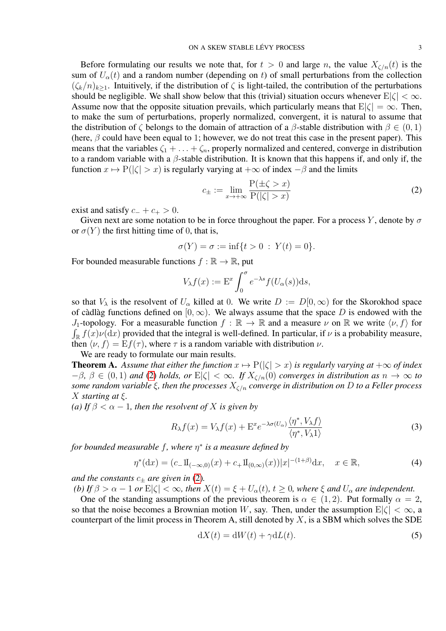Before formulating our results we note that, for  $t > 0$  and large n, the value  $X_{\zeta/n}(t)$  is the sum of  $U_{\alpha}(t)$  and a random number (depending on t) of small perturbations from the collection  $(\zeta_k/n)_{k\geq 1}$ . Intuitively, if the distribution of  $\zeta$  is light-tailed, the contribution of the perturbations should be negligible. We shall show below that this (trivial) situation occurs whenever  $E|\zeta| < \infty$ . Assume now that the opposite situation prevails, which particularly means that  $E|\zeta| = \infty$ . Then, to make the sum of perturbations, properly normalized, convergent, it is natural to assume that the distribution of  $\zeta$  belongs to the domain of attraction of a  $\beta$ -stable distribution with  $\beta \in (0,1)$ (here,  $\beta$  could have been equal to 1; however, we do not treat this case in the present paper). This means that the variables  $\zeta_1 + \ldots + \zeta_n$ , properly normalized and centered, converge in distribution to a random variable with a  $\beta$ -stable distribution. It is known that this happens if, and only if, the function  $x \mapsto P(|\zeta| > x)$  is regularly varying at  $+\infty$  of index  $-\beta$  and the limits

<span id="page-2-0"></span>
$$
c_{\pm} := \lim_{x \to +\infty} \frac{\mathcal{P}(\pm \zeta > x)}{\mathcal{P}(|\zeta| > x)}\tag{2}
$$

exist and satisfy  $c_- + c_+ > 0$ .

Given next are some notation to be in force throughout the paper. For a process Y, denote by  $\sigma$ or  $\sigma(Y)$  the first hitting time of 0, that is,

$$
\sigma(Y) = \sigma := \inf\{t > 0 : Y(t) = 0\}.
$$

For bounded measurable functions  $f : \mathbb{R} \to \mathbb{R}$ , put

$$
V_{\lambda}f(x) := \mathcal{E}^{x} \int_{0}^{\sigma} e^{-\lambda s} f(U_{\alpha}(s)) \mathrm{d} s,
$$

so that  $V_\lambda$  is the resolvent of  $U_\alpha$  killed at 0. We write  $D := D[0,\infty)$  for the Skorokhod space of càdlàg functions defined on [0,  $\infty$ ). We always assume that the space D is endowed with the J<sub>1</sub>-topology. For a measurable function  $f : \mathbb{R} \to \mathbb{R}$  and a measure  $\nu$  on  $\mathbb{R}$  we write  $\langle \nu, f \rangle$  for  $\int_{\mathbb{R}} f(x) \nu(\mathrm{d}x)$  provided that the integral is well-defined. In particular, if  $\nu$  is a probability measure, then  $\langle v, f \rangle = E f(\tau)$ , where  $\tau$  is a random variable with distribution  $\nu$ .

We are ready to formulate our main results. **Theorem A.** Assume that either the function  $x \mapsto P(|\zeta| > x)$  is regularly varying at  $+\infty$  of index

 $-\beta$ ,  $\beta \in (0,1)$  *and* [\(2\)](#page-2-0) *holds, or*  $E|\zeta| < \infty$ *. If*  $X_{\zeta/n}(0)$  *converges in distribution as*  $n \to \infty$  *to some random variable* ξ*, then the processes* Xζ/n *converge in distribution on* D *to a Feller process* X *starting at* ξ*.*

*(a)* If  $\beta < \alpha - 1$ *, then the resolvent of* X *is given by* 

<span id="page-2-1"></span>
$$
R_{\lambda}f(x) = V_{\lambda}f(x) + \mathbf{E}^x e^{-\lambda \sigma(U_{\alpha})} \frac{\langle \eta^*, V_{\lambda}f \rangle}{\langle \eta^*, V_{\lambda}1 \rangle}
$$
(3)

*for bounded measurable* f*, where* η ∗ *is a measure defined by*

<span id="page-2-3"></span>
$$
\eta^*(dx) = (c_- 1\mathbb{I}_{(-\infty,0)}(x) + c_+ 1\mathbb{I}_{(0,\infty)}(x))|x|^{-(1+\beta)}dx, \quad x \in \mathbb{R},\tag{4}
$$

*and the constants*  $c_{\pm}$  *are given in* [\(2\)](#page-2-0).

*(b)* If  $\beta > \alpha - 1$  or  $E|\zeta| < \infty$ , then  $X(t) = \xi + U_{\alpha}(t)$ ,  $t \ge 0$ , where  $\xi$  and  $U_{\alpha}$  are independent.

One of the standing assumptions of the previous theorem is  $\alpha \in (1, 2)$ . Put formally  $\alpha = 2$ , so that the noise becomes a Brownian motion W, say. Then, under the assumption  $E|\zeta| < \infty$ , a counterpart of the limit process in Theorem A, still denoted by  $X$ , is a SBM which solves the SDE

<span id="page-2-2"></span>
$$
dX(t) = dW(t) + \gamma dL(t).
$$
\n(5)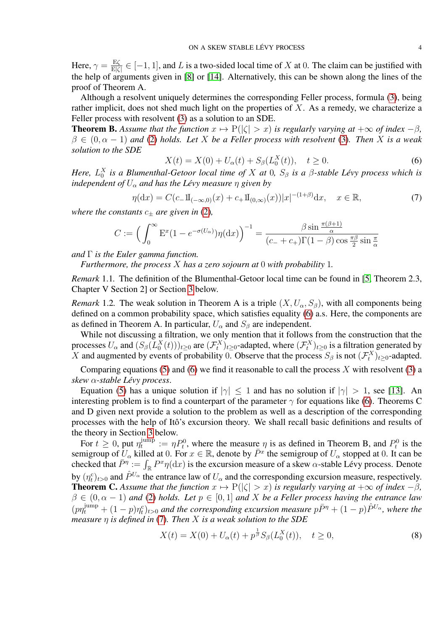Here,  $\gamma = \frac{E\zeta}{E\zeta}$  $\frac{E(\zeta)}{E|\zeta|} \in [-1, 1]$ , and L is a two-sided local time of X at 0. The claim can be justified with the help of arguments given in [\[8\]](#page-21-18) or [\[14\]](#page-21-4). Alternatively, this can be shown along the lines of the proof of Theorem A.

Although a resolvent uniquely determines the corresponding Feller process, formula [\(3\)](#page-2-1), being rather implicit, does not shed much light on the properties of  $X$ . As a remedy, we characterize a Feller process with resolvent [\(3\)](#page-2-1) as a solution to an SDE.

**Theorem B.** Assume that the function  $x \mapsto P(|\zeta| > x)$  is regularly varying at  $+\infty$  of index  $-\beta$ ,  $\beta \in (0, \alpha - 1)$  and [\(2\)](#page-2-0) holds. Let X be a Feller process with resolvent [\(3\)](#page-2-1). Then X is a weak *solution to the SDE*

<span id="page-3-0"></span>
$$
X(t) = X(0) + U_{\alpha}(t) + S_{\beta}(L_0^X(t)), \quad t \ge 0.
$$
 (6)

*Here,*  $L_0^X$  *is a Blumenthal-Getoor local time of* X *at* 0*,*  $S_\beta$  *is a*  $\beta$ *-stable Lévy process which is independent of*  $U_{\alpha}$  *and has the Lévy measure*  $\eta$  *given by* 

<span id="page-3-1"></span>
$$
\eta(\mathrm{d}x) = C(c_-1\mathrm{I}_{(-\infty,0)}(x) + c_+1\mathrm{I}_{(0,\infty)}(x))|x|^{-(1+\beta)}\mathrm{d}x, \quad x \in \mathbb{R},\tag{7}
$$

*where the constants*  $c_+$  *are given in* [\(2\)](#page-2-0),

$$
C := \left(\int_0^\infty \mathcal{E}^x (1 - e^{-\sigma(U_\alpha)}) \eta(\mathrm{d}x)\right)^{-1} = \frac{\beta \sin \frac{\pi(\beta + 1)}{\alpha}}{(c_- + c_+) \Gamma(1 - \beta) \cos \frac{\pi \beta}{2} \sin \frac{\pi}{\alpha}}
$$

*and* Γ *is the Euler gamma function.*

*Furthermore, the process* X *has a zero sojourn at* 0 *with probability* 1*.*

*Remark* 1.1*.* The definition of the Blumenthal-Getoor local time can be found in [\[5,](#page-20-3) Theorem 2.3, Chapter V Section 2] or Section [3](#page-12-0) below.

*Remark* 1.2. The weak solution in Theorem A is a triple  $(X, U_\alpha, S_\beta)$ , with all components being defined on a common probability space, which satisfies equality [\(6\)](#page-3-0) a.s. Here, the components are as defined in Theorem A. In particular,  $U_{\alpha}$  and  $S_{\beta}$  are independent.

While not discussing a filtration, we only mention that it follows from the construction that the processes  $U_\alpha$  and  $(S_\beta(L_\alpha^X(t)))_{t\geq 0}$  are  $(\mathcal{F}^X_t)_{t\geq 0}$ -adapted, where  $(\mathcal{F}^X_t)_{t\geq 0}$  is a filtration generated by X and augmented by events of probability 0. Observe that the process  $S_\beta$  is not  $(\mathcal{F}_t^X)_{t\geq 0}$ -adapted.

Comparing equations [\(5\)](#page-2-2) and [\(6\)](#page-3-0) we find it reasonable to call the process X with resolvent [\(3\)](#page-2-1) a *skew* α*-stable Lévy process*.

Equation [\(5\)](#page-2-2) has a unique solution if  $|\gamma| < 1$  and has no solution if  $|\gamma| > 1$ , see [\[13\]](#page-21-3). An interesting problem is to find a counterpart of the parameter  $\gamma$  for equations like [\(6\)](#page-3-0). Theorems C and D given next provide a solution to the problem as well as a description of the corresponding processes with the help of Itô's excursion theory. We shall recall basic definitions and results of the theory in Section [3](#page-12-0) below.

For  $t \geq 0$ , put  $\eta_t^{\text{jump}}$  $t_t^{\text{jump}} := \eta P_t^0$ , where the measure  $\eta$  is as defined in Theorem B, and  $P_t^0$  is the semigroup of  $U_\alpha$  killed at 0. For  $x \in \mathbb{R}$ , denote by  $\overline{P}^x$  the semigroup of  $U_\alpha$  stopped at 0. It can be checked that  $\bar{P}^{\eta} := \int_{\mathbb{R}} P^x \eta(dx)$  is the excursion measure of a skew  $\alpha$ -stable Lévy process. Denote by  $(\eta_t^c)_{t>0}$  and  $\hat{P}^{U_\alpha}$  the entrance law of  $U_\alpha$  and the corresponding excursion measure, respectively. **Theorem C.** Assume that the function  $x \mapsto P(|\zeta| > x)$  is regularly varying at  $+\infty$  of index  $-\beta$ ,  $\beta \in (0, \alpha - 1)$  and [\(2\)](#page-2-0) holds. Let  $p \in [0, 1]$  and X be a Feller process having the entrance law  $(p\eta_t^{jump} + (1-p)\eta_t^c)_{t>0}$  and the corresponding excursion measure  $p\bar{P}^{\eta} + (1-p)\hat{P}^{U\alpha}$ , where the *measure* η *is defined in* [\(7\)](#page-3-1)*. Then* X *is a weak solution to the SDE*

<span id="page-3-2"></span>
$$
X(t) = X(0) + U_{\alpha}(t) + p^{\frac{1}{\beta}} S_{\beta}(L_0^X(t)), \quad t \ge 0,
$$
\n(8)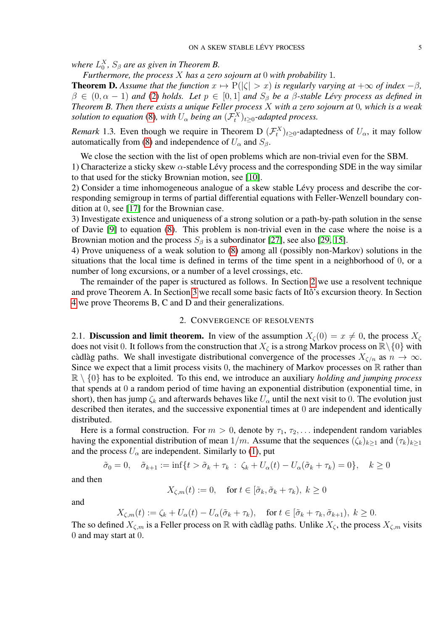where  $L_0^X$ ,  $S_\beta$  are as given in Theorem B.

*Furthermore, the process* X *has a zero sojourn at* 0 *with probability* 1*.*

**Theorem D.** Assume that the function  $x \mapsto P(|\zeta| > x)$  is regularly varying at  $+\infty$  of index  $-\beta$ ,  $\beta \in (0, \alpha - 1)$  *and* [\(2\)](#page-2-0) *holds.* Let  $p \in [0, 1]$  *and*  $S_{\beta}$  *be a*  $\beta$ -stable Lévy process as defined in *Theorem B. Then there exists a unique Feller process* X *with a zero sojourn at* 0*, which is a weak solution to equation* [\(8\)](#page-3-2), with  $U_{\alpha}$  being an  $(\mathcal{F}_{t}^{X})_{t\geq0}$ -adapted process.

*Remark* 1.3. Even though we require in Theorem D  $(\mathcal{F}_t^X)_{t\geq 0}$ -adaptedness of  $U_\alpha$ , it may follow automatically from [\(8\)](#page-3-2) and independence of  $U_{\alpha}$  and  $S_{\beta}$ .

We close the section with the list of open problems which are non-trivial even for the SBM.

1) Characterize a sticky skew  $\alpha$ -stable Lévy process and the corresponding SDE in the way similar to that used for the sticky Brownian motion, see [\[10\]](#page-21-19).

2) Consider a time inhomogeneous analogue of a skew stable Lévy process and describe the corresponding semigroup in terms of partial differential equations with Feller-Wenzell boundary condition at 0, see [\[17\]](#page-21-20) for the Brownian case.

3) Investigate existence and uniqueness of a strong solution or a path-by-path solution in the sense of Davie [\[9\]](#page-21-21) to equation [\(8\)](#page-3-2). This problem is non-trivial even in the case where the noise is a Brownian motion and the process  $S_\beta$  is a subordinator [\[27\]](#page-21-22), see also [\[29,](#page-21-23) [15\]](#page-21-24).

4) Prove uniqueness of a weak solution to [\(8\)](#page-3-2) among all (possibly non-Markov) solutions in the situations that the local time is defined in terms of the time spent in a neighborhood of 0, or a number of long excursions, or a number of a level crossings, etc.

The remainder of the paper is structured as follows. In Section [2](#page-4-0) we use a resolvent technique and prove Theorem A. In Section [3](#page-12-0) we recall some basic facts of Itô's excursion theory. In Section [4](#page-15-0) we prove Theorems B, C and D and their generalizations.

### 2. CONVERGENCE OF RESOLVENTS

<span id="page-4-0"></span>2.1. Discussion and limit theorem. In view of the assumption  $X_{\zeta}(0) = x \neq 0$ , the process  $X_{\zeta}$ does not visit 0. It follows from the construction that  $X_{\zeta}$  is a strong Markov process on  $\mathbb{R}\setminus\{0\}$  with càdlàg paths. We shall investigate distributional convergence of the processes  $X_{\zeta/n}$  as  $n \to \infty$ . Since we expect that a limit process visits 0, the machinery of Markov processes on  $\mathbb R$  rather than  $\mathbb{R} \setminus \{0\}$  has to be exploited. To this end, we introduce an auxiliary *holding and jumping process* that spends at 0 a random period of time having an exponential distribution (exponential time, in short), then has jump  $\zeta_k$  and afterwards behaves like  $U_\alpha$  until the next visit to 0. The evolution just described then iterates, and the successive exponential times at 0 are independent and identically distributed.

Here is a formal construction. For  $m > 0$ , denote by  $\tau_1, \tau_2, \ldots$  independent random variables having the exponential distribution of mean  $1/m$ . Assume that the sequences  $(\zeta_k)_{k>1}$  and  $(\tau_k)_{k>1}$ and the process  $U_{\alpha}$  are independent. Similarly to [\(1\)](#page-1-0), put

$$
\tilde{\sigma}_0 = 0, \quad \tilde{\sigma}_{k+1} := \inf\{t > \tilde{\sigma}_k + \tau_k \; : \; \zeta_k + U_\alpha(t) - U_\alpha(\tilde{\sigma}_k + \tau_k) = 0\}, \quad k \ge 0
$$

and then

$$
X_{\zeta,m}(t) := 0, \quad \text{for } t \in [\tilde{\sigma}_k, \tilde{\sigma}_k + \tau_k), \ k \ge 0
$$

and

$$
X_{\zeta,m}(t) := \zeta_k + U_{\alpha}(t) - U_{\alpha}(\tilde{\sigma}_k + \tau_k), \quad \text{for } t \in [\tilde{\sigma}_k + \tau_k, \tilde{\sigma}_{k+1}), \ k \ge 0.
$$

The so defined  $X_{\zeta,m}$  is a Feller process on R with càdlàg paths. Unlike  $X_{\zeta}$ , the process  $X_{\zeta,m}$  visits 0 and may start at 0.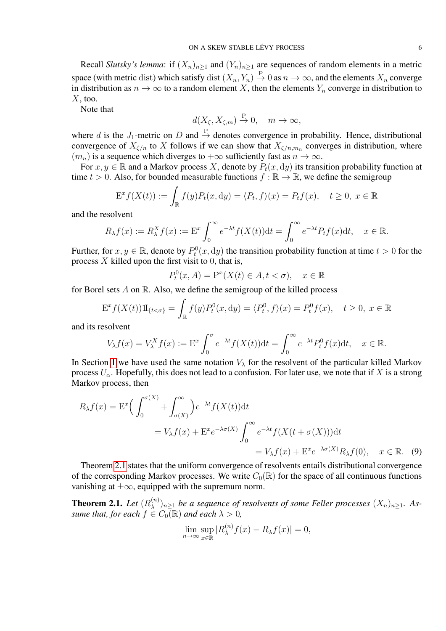Recall *Slutsky's lemma*: if  $(X_n)_{n>1}$  and  $(Y_n)_{n>1}$  are sequences of random elements in a metric space (with metric dist) which satisfy dist  $(X_n, Y_n) \stackrel{P}{\to} 0$  as  $n \to \infty$ , and the elements  $X_n$  converge in distribution as  $n \to \infty$  to a random element X, then the elements  $Y_n$  converge in distribution to  $X$ , too.

Note that

$$
d(X_{\zeta}, X_{\zeta,m}) \stackrel{\text{P}}{\to} 0, \quad m \to \infty,
$$

where d is the  $J_1$ -metric on D and  $\stackrel{P}{\rightarrow}$  denotes convergence in probability. Hence, distributional convergence of  $X_{\zeta/n}$  to X follows if we can show that  $X_{\zeta/n,m_n}$  converges in distribution, where  $(m_n)$  is a sequence which diverges to  $+\infty$  sufficiently fast as  $n \to \infty$ .

For  $x, y \in \mathbb{R}$  and a Markov process X, denote by  $P_t(x, dy)$  its transition probability function at time  $t > 0$ . Also, for bounded measurable functions  $f : \mathbb{R} \to \mathbb{R}$ , we define the semigroup

$$
\mathcal{E}^x f(X(t)) := \int_{\mathbb{R}} f(y) P_t(x, \mathrm{d}y) = \langle P_t, f \rangle(x) = P_t f(x), \quad t \ge 0, \ x \in \mathbb{R}
$$

and the resolvent

$$
R_{\lambda}f(x) := R_{\lambda}^{X}f(x) := \mathcal{E}^{x} \int_{0}^{\infty} e^{-\lambda t} f(X(t)) \mathrm{d}t = \int_{0}^{\infty} e^{-\lambda t} P_{t}f(x) \mathrm{d}t, \quad x \in \mathbb{R}.
$$

Further, for  $x, y \in \mathbb{R}$ , denote by  $P_t^0(x, dy)$  the transition probability function at time  $t > 0$  for the process  $X$  killed upon the first visit to 0, that is,

$$
P_t^0(x, A) = \mathcal{P}^x(X(t) \in A, t < \sigma), \quad x \in \mathbb{R}
$$

for Borel sets  $A$  on  $\mathbb R$ . Also, we define the semigroup of the killed process

$$
\mathcal{E}^x f(X(t)) \mathbb{1}_{\{t < \sigma\}} = \int_{\mathbb{R}} f(y) P_t^0(x, \mathrm{d}y) = \langle P_t^0, f \rangle(x) = P_t^0 f(x), \quad t \ge 0, \ x \in \mathbb{R}
$$

and its resolvent

$$
V_{\lambda}f(x) = V_{\lambda}^{X}f(x) := \mathcal{E}^{x} \int_{0}^{\sigma} e^{-\lambda t} f(X(t)) dt = \int_{0}^{\infty} e^{-\lambda t} P_{t}^{0} f(x) dt, \quad x \in \mathbb{R}.
$$

In Section [1](#page-0-0) we have used the same notation  $V_{\lambda}$  for the resolvent of the particular killed Markov process  $U_{\alpha}$ . Hopefully, this does not lead to a confusion. For later use, we note that if X is a strong Markov process, then

$$
R_{\lambda}f(x) = \mathcal{E}^{x} \Big( \int_{0}^{\sigma(X)} + \int_{\sigma(X)}^{\infty} \Big) e^{-\lambda t} f(X(t)) dt
$$
  
=  $V_{\lambda}f(x) + \mathcal{E}^{x} e^{-\lambda \sigma(X)} \int_{0}^{\infty} e^{-\lambda t} f(X(t + \sigma(X))) dt$   
=  $V_{\lambda}f(x) + \mathcal{E}^{x} e^{-\lambda \sigma(X)} R_{\lambda}f(0), \quad x \in \mathbb{R}.$  (9)

Theorem [2.1](#page-5-0) states that the uniform convergence of resolvents entails distributional convergence of the corresponding Markov processes. We write  $C_0(\mathbb{R})$  for the space of all continuous functions vanishing at  $\pm\infty$ , equipped with the supremum norm.

<span id="page-5-0"></span>**Theorem 2.1.** *Let*  $(R_{\lambda}^{(n)})$  $\mathbb{R}^{(n)}_{\lambda}|_{n\geq 1}$  be a sequence of resolvents of some Feller processes  $(X_n)_{n\geq 1}$ . As*sume that, for each*  $f \in C_0(\mathbb{R})$  *and each*  $\lambda > 0$ *,* 

<span id="page-5-1"></span>
$$
\lim_{n \to \infty} \sup_{x \in \mathbb{R}} |R_{\lambda}^{(n)} f(x) - R_{\lambda} f(x)| = 0,
$$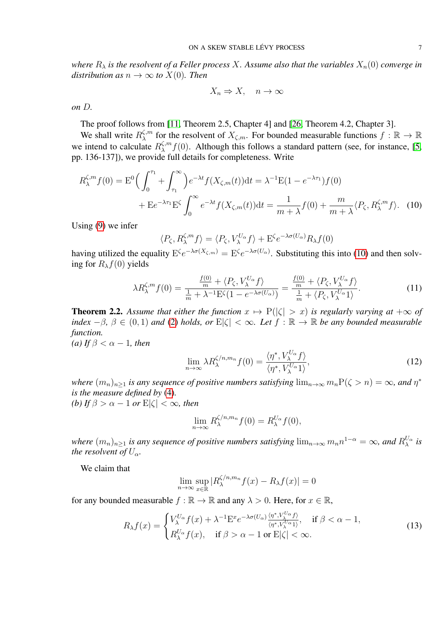*where*  $R_{\lambda}$  *is the resolvent of a Feller process X. Assume also that the variables*  $X_n(0)$  *converge in distribution as*  $n \to \infty$  *to*  $X(0)$ *. Then* 

<span id="page-6-0"></span>
$$
X_n \Rightarrow X, \quad n \to \infty
$$

*on* D*.*

The proof follows from [\[11,](#page-21-25) Theorem 2.5, Chapter 4] and [\[26,](#page-21-26) Theorem 4.2, Chapter 3].

We shall write  $R_{\lambda}^{\zeta,m}$  $\zeta_m^{\zeta,m}$  for the resolvent of  $X_{\zeta,m}$ . For bounded measurable functions  $f : \mathbb{R} \to \mathbb{R}$ we intend to calculate  $R_{\lambda}^{\zeta,m}$  $\lambda^{n} f(0)$ . Although this follows a standard pattern (see, for instance, [\[5,](#page-20-3) pp. 136-137]), we provide full details for completeness. Write

$$
R_{\lambda}^{\zeta,m} f(0) = \mathcal{E}^0 \Big( \int_0^{\tau_1} + \int_{\tau_1}^{\infty} \Big) e^{-\lambda t} f(X_{\zeta,m}(t)) dt = \lambda^{-1} \mathcal{E} (1 - e^{-\lambda \tau_1}) f(0)
$$
  
+ 
$$
\mathcal{E} e^{-\lambda \tau_1} \mathcal{E}^{\zeta} \int_0^{\infty} e^{-\lambda t} f(X_{\zeta,m}(t)) dt = \frac{1}{m + \lambda} f(0) + \frac{m}{m + \lambda} \langle P_{\zeta}, R_{\lambda}^{\zeta,m} f \rangle. \tag{10}
$$

Using [\(9\)](#page-5-1) we infer

$$
\langle P_{\zeta}, R_{\lambda}^{\zeta, m} f \rangle = \langle P_{\zeta}, V_{\lambda}^{U_{\alpha}} f \rangle + \mathcal{E}^{\zeta} e^{-\lambda \sigma(U_{\alpha})} R_{\lambda} f(0)
$$

having utilized the equality  $E^{\zeta}e^{-\lambda \sigma(X_{\zeta,m})} = E^{\zeta}e^{-\lambda \sigma(U_{\alpha})}$ . Substituting this into [\(10\)](#page-6-0) and then solving for  $R_\lambda f(0)$  yields

<span id="page-6-3"></span>
$$
\lambda R_{\lambda}^{\zeta,m} f(0) = \frac{\frac{f(0)}{m} + \langle P_{\zeta}, V_{\lambda}^{U_{\alpha}} f \rangle}{\frac{1}{m} + \lambda^{-1} \mathcal{E}^{\zeta}(1 - e^{-\lambda \sigma(U_{\alpha})})} = \frac{\frac{f(0)}{m} + \langle P_{\zeta}, V_{\lambda}^{U_{\alpha}} f \rangle}{\frac{1}{m} + \langle P_{\zeta}, V_{\lambda}^{U_{\alpha}} 1 \rangle}.
$$
(11)

<span id="page-6-1"></span>**Theorem 2.2.** Assume that either the function  $x \mapsto P(|\zeta| > x)$  is regularly varying at  $+\infty$  of *index*  $-\beta$ ,  $\beta \in (0,1)$  *and* [\(2\)](#page-2-0) *holds, or*  $E|\zeta| < \infty$ *. Let*  $f : \mathbb{R} \to \mathbb{R}$  *be any bounded measurable function.*

*(a)* If  $\beta < \alpha - 1$ *, then* 

$$
\lim_{n \to \infty} \lambda R_{\lambda}^{\zeta/n, m_n} f(0) = \frac{\langle \eta^*, V_{\lambda}^{U_{\alpha}} f \rangle}{\langle \eta^*, V_{\lambda}^{U_{\alpha}} 1 \rangle},
$$
\n(12)

*where*  $(m_n)_{n\geq 1}$  *is any sequence of positive numbers satisfying*  $\lim_{n\to\infty} m_n P(\zeta > n) = \infty$ *, and*  $\eta^*$ *is the measure defined by* [\(4\)](#page-2-3)*.*

*(b)* If  $\beta > \alpha - 1$  or  $E|\zeta| < \infty$ , then

$$
\lim_{n \to \infty} R_{\lambda}^{\zeta/n, m_n} f(0) = R_{\lambda}^{U_{\alpha}} f(0),
$$

*where*  $(m_n)_{n\geq 1}$  *is any sequence of positive numbers satisfying*  $\lim_{n\to\infty}m_n n^{1-\alpha}=\infty$ *, and*  $R_\lambda^{U_\alpha}$  *is the resolvent of*  $U_{\alpha}$ *.* 

We claim that

$$
\lim_{n \to \infty} \sup_{x \in \mathbb{R}} |R_{\lambda}^{\zeta/n, m_n} f(x) - R_{\lambda} f(x)| = 0
$$

for any bounded measurable  $f : \mathbb{R} \to \mathbb{R}$  and any  $\lambda > 0$ . Here, for  $x \in \mathbb{R}$ ,

<span id="page-6-2"></span>
$$
R_{\lambda}f(x) = \begin{cases} V_{\lambda}^{U_{\alpha}}f(x) + \lambda^{-1} \mathcal{E}^{x} e^{-\lambda \sigma(U_{\alpha})} \frac{\langle \eta^{*}, V_{\lambda}^{U_{\alpha}}f \rangle}{\langle \eta^{*}, V_{\lambda}^{U_{\alpha}}1 \rangle}, & \text{if } \beta < \alpha - 1, \\ R_{\lambda}^{U_{\alpha}}f(x), & \text{if } \beta > \alpha - 1 \text{ or } \mathcal{E}|\zeta| < \infty. \end{cases}
$$
(13)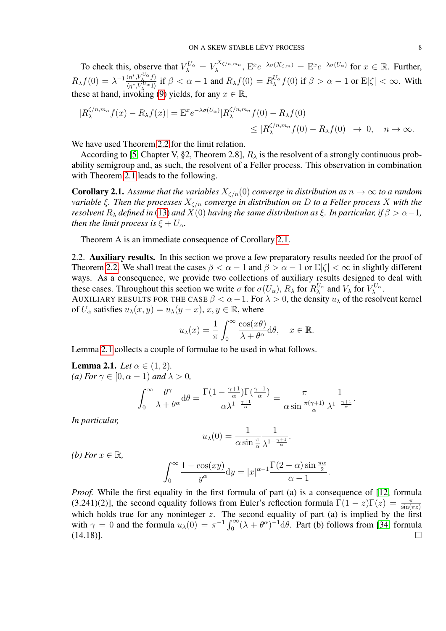To check this, observe that  $V_{\lambda}^{U_{\alpha}} = V_{\lambda}^{X_{\zeta/n,m_n}}$  $\chi^X(\chi/n, m_n, E^x e^{-\lambda \sigma(X_{\zeta,m})} = E^x e^{-\lambda \sigma(U_\alpha)}$  for  $x \in \mathbb{R}$ . Further,  $R_\lambda f(0) = \lambda^{-1} \frac{\langle \eta^*, V_\lambda^{U_\alpha} f \rangle}{\langle \eta^*, V_{\lambda}^{U_{\alpha}} \rangle}$  $\frac{\langle \eta^*, V_{\lambda}^{\vee} \alpha f \rangle}{\langle \eta^*, V_{\lambda}^{\vee} \alpha_1 \rangle}$  if  $\beta < \alpha - 1$  and  $R_{\lambda} f(0) = R_{\lambda}^{U_{\alpha}} f(0)$  if  $\beta > \alpha - 1$  or  $E|\zeta| < \infty$ . With these at hand, invoking [\(9\)](#page-5-1) yields, for any  $x \in \mathbb{R}$ ,

$$
|R_{\lambda}^{\zeta/n,m_n}f(x) - R_{\lambda}f(x)| = \mathcal{E}^x e^{-\lambda \sigma(U_{\alpha})} |R_{\lambda}^{\zeta/n,m_n}f(0) - R_{\lambda}f(0)|
$$
  

$$
\leq |R_{\lambda}^{\zeta/n,m_n}f(0) - R_{\lambda}f(0)| \to 0, \quad n \to \infty.
$$

We have used Theorem [2.2](#page-6-1) for the limit relation.

According to [\[5,](#page-20-3) Chapter V, §2, Theorem 2.8],  $R_{\lambda}$  is the resolvent of a strongly continuous probability semigroup and, as such, the resolvent of a Feller process. This observation in combination with Theorem [2.1](#page-5-0) leads to the following.

<span id="page-7-0"></span>**Corollary 2.1.** Assume that the variables  $X_{\zeta/n}(0)$  converge in distribution as  $n \to \infty$  to a random *variable*  $\xi$ *. Then the processes*  $X_{\zeta/n}$  *converge in distribution on* D *to a Feller process* X *with the resolvent*  $R_{\lambda}$  *defined in* [\(13\)](#page-6-2) *and*  $X(0)$  *having the same distribution as*  $\xi$ *. In particular, if*  $\beta > \alpha - 1$ *, then the limit process is*  $\xi + U_{\alpha}$ *.* 

Theorem A is an immediate consequence of Corollary [2.1.](#page-7-0)

2.2. Auxiliary results. In this section we prove a few preparatory results needed for the proof of Theorem [2.2.](#page-6-1) We shall treat the cases  $\beta < \alpha - 1$  and  $\beta > \alpha - 1$  or  $E|\zeta| < \infty$  in slightly different ways. As a consequence, we provide two collections of auxiliary results designed to deal with these cases. Throughout this section we write  $\sigma$  for  $\sigma(U_\alpha)$ ,  $R_\lambda$  for  $R_\lambda^{U_\alpha}$  and  $V_\lambda$  for  $V_\lambda^{U_\alpha}$ .

AUXILIARY RESULTS FOR THE CASE  $\beta < \alpha - 1$ . For  $\lambda > 0$ , the density  $u_{\lambda}$  of the resolvent kernel of  $U_{\alpha}$  satisfies  $u_{\lambda}(x, y) = u_{\lambda}(y - x), x, y \in \mathbb{R}$ , where

$$
u_{\lambda}(x) = \frac{1}{\pi} \int_0^{\infty} \frac{\cos(x\theta)}{\lambda + \theta^{\alpha}} d\theta, \quad x \in \mathbb{R}.
$$

Lemma [2.1](#page-7-1) collects a couple of formulae to be used in what follows.

<span id="page-7-1"></span>**Lemma 2.1.** *Let*  $\alpha \in (1, 2)$ *. (a) For*  $\gamma \in [0, \alpha - 1)$  *and*  $\lambda > 0$ *,* 

$$
\int_0^\infty \frac{\theta^\gamma}{\lambda + \theta^\alpha} d\theta = \frac{\Gamma(1 - \frac{\gamma + 1}{\alpha}) \Gamma(\frac{\gamma + 1}{\alpha})}{\alpha \lambda^{1 - \frac{\gamma + 1}{\alpha}}} = \frac{\pi}{\alpha \sin \frac{\pi(\gamma + 1)}{\alpha}} \frac{1}{\lambda^{1 - \frac{\gamma + 1}{\alpha}}}.
$$

*In particular,*

$$
u_{\lambda}(0) = \frac{1}{\alpha \sin \frac{\pi}{\alpha}} \frac{1}{\lambda^{1 - \frac{\gamma + 1}{\alpha}}}.
$$

*(b)* For  $x \in \mathbb{R}$ ,

$$
\int_0^\infty \frac{1 - \cos(xy)}{y^\alpha} dy = |x|^{\alpha - 1} \frac{\Gamma(2 - \alpha) \sin \frac{\pi \alpha}{2}}{\alpha - 1}.
$$

*Proof.* While the first equality in the first formula of part (a) is a consequence of [\[12,](#page-21-27) formula (3.241)(2)], the second equality follows from Euler's reflection formula  $\Gamma(1-z)\Gamma(z) = \frac{\pi}{\sin(\pi z)}$ which holds true for any noninteger  $z$ . The second equality of part (a) is implied by the first with  $\gamma = 0$  and the formula  $u_{\lambda}(0) = \pi^{-1} \int_0^{\infty} (\lambda + \theta^{\alpha})^{-1} d\theta$ . Part (b) follows from [\[34,](#page-21-10) formula  $(14.18)$ ].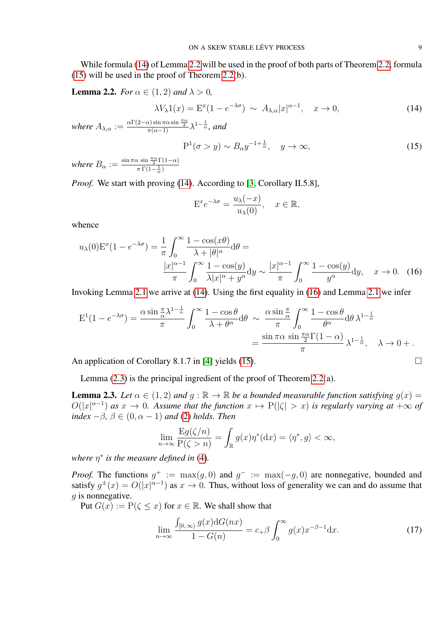While formula [\(14\)](#page-8-0) of Lemma [2.2](#page-8-1) will be used in the proof of both parts of Theorem [2.2,](#page-6-1) formula [\(15\)](#page-8-2) will be used in the proof of Theorem [2.2\(](#page-6-1)b).

<span id="page-8-1"></span>**Lemma 2.2.** *For*  $\alpha \in (1, 2)$  *and*  $\lambda > 0$ *,* 

<span id="page-8-0"></span>
$$
\lambda V_{\lambda} 1(x) = \mathcal{E}^x (1 - e^{-\lambda \sigma}) \sim A_{\lambda, \alpha} |x|^{\alpha - 1}, \quad x \to 0,
$$
\n(14)

where  $A_{\lambda,\alpha} := \frac{\alpha \Gamma(2-\alpha) \sin \pi \alpha \sin \frac{\pi \alpha}{2}}{\pi(\alpha-1)} \lambda^{1-\frac{1}{\alpha}},$  and

<span id="page-8-2"></span>
$$
P^{1}(\sigma > y) \sim B_{\alpha} y^{-1 + \frac{1}{\alpha}}, \quad y \to \infty,
$$
\n(15)

*where*  $B_{\alpha} := \frac{\sin \pi \alpha \sin \frac{\pi \alpha}{2} \Gamma(1-\alpha)}{\pi \Gamma(1-\frac{1}{2})}$  $\pi \Gamma(1-\frac{1}{\alpha})$ 

*Proof.* We start with proving [\(14\)](#page-8-0). According to [\[3,](#page-20-1) Corollary II.5.8],

<span id="page-8-3"></span>
$$
\mathcal{E}^x e^{-\lambda \sigma} = \frac{u_\lambda(-x)}{u_\lambda(0)}, \quad x \in \mathbb{R},
$$

whence

$$
u_{\lambda}(0)\mathbf{E}^{x}(1-e^{-\lambda\sigma}) = \frac{1}{\pi} \int_{0}^{\infty} \frac{1-\cos(x\theta)}{\lambda+|\theta|^{\alpha}} d\theta =
$$

$$
\frac{|x|^{\alpha-1}}{\pi} \int_{0}^{\infty} \frac{1-\cos(y)}{\lambda|x|^{\alpha}+y^{\alpha}} dy \sim \frac{|x|^{\alpha-1}}{\pi} \int_{0}^{\infty} \frac{1-\cos(y)}{y^{\alpha}} dy, \quad x \to 0. \quad (16)
$$

Invoking Lemma [2.1](#page-7-1) we arrive at [\(14\)](#page-8-0). Using the first equality in [\(16\)](#page-8-3) and Lemma [2.1](#page-7-1) we infer

$$
E^{1}(1 - e^{-\lambda \sigma}) = \frac{\alpha \sin \frac{\pi}{\alpha} \lambda^{1 - \frac{1}{\alpha}}}{\pi} \int_{0}^{\infty} \frac{1 - \cos \theta}{\lambda + \theta^{\alpha}} d\theta \sim \frac{\alpha \sin \frac{\pi}{\alpha}}{\pi} \int_{0}^{\infty} \frac{1 - \cos \theta}{\theta^{\alpha}} d\theta \lambda^{1 - \frac{1}{\alpha}}
$$

$$
= \frac{\sin \pi \alpha \sin \frac{\pi \alpha}{2} \Gamma(1 - \alpha)}{\pi} \lambda^{1 - \frac{1}{\alpha}}, \quad \lambda \to 0 + .
$$

An application of Corollary 8.1.7 in [\[4\]](#page-20-4) yields [\(15\)](#page-8-2).

Lemma [\(2.3\)](#page-8-4) is the principal ingredient of the proof of Theorem [2.2\(](#page-6-1)a).

<span id="page-8-4"></span>**Lemma 2.3.** Let  $\alpha \in (1,2)$  and  $g : \mathbb{R} \to \mathbb{R}$  be a bounded measurable function satisfying  $g(x) =$  $O(|x|^{\alpha-1})$  *as*  $x \to 0$ . Assume that the function  $x \mapsto P(|\zeta| > x)$  is regularly varying at  $+\infty$  of *index*  $-\beta$ *,*  $\beta \in (0, \alpha - 1)$  *and* [\(2\)](#page-2-0) *holds. Then* 

$$
\lim_{n \to \infty} \frac{\mathrm{E}g(\zeta/n)}{\mathrm{P}(\zeta > n)} = \int_{\mathbb{R}} g(x)\eta^*(\mathrm{d}x) = \langle \eta^*, g \rangle < \infty,
$$

where  $\eta^*$  is the measure defined in [\(4\)](#page-2-3).

*Proof.* The functions  $g^+ := \max(g, 0)$  and  $g^- := \max(-g, 0)$  are nonnegative, bounded and satisfy  $g^{\pm}(x) = O(|x|^{\alpha-1})$  as  $x \to 0$ . Thus, without loss of generality we can and do assume that  $q$  is nonnegative.

Put  $G(x) := P(\zeta \leq x)$  for  $x \in \mathbb{R}$ . We shall show that

<span id="page-8-5"></span>
$$
\lim_{n \to \infty} \frac{\int_{[0,\infty)} g(x) dG(nx)}{1 - G(n)} = c_+ \beta \int_0^\infty g(x) x^{-\beta - 1} dx. \tag{17}
$$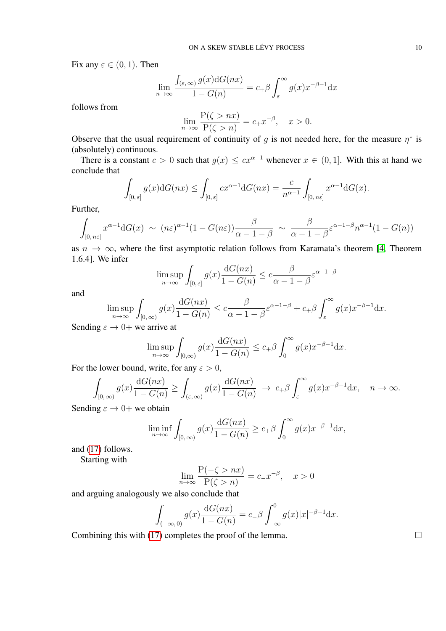Fix any  $\varepsilon \in (0,1)$ . Then

$$
\lim_{n \to \infty} \frac{\int_{(\varepsilon, \infty)} g(x) dG(nx)}{1 - G(n)} = c_+ \beta \int_{\varepsilon}^{\infty} g(x) x^{-\beta - 1} dx
$$

follows from

$$
\lim_{n \to \infty} \frac{\mathcal{P}(\zeta > nx)}{\mathcal{P}(\zeta > n)} = c_+ x^{-\beta}, \quad x > 0.
$$

Observe that the usual requirement of continuity of g is not needed here, for the measure  $\eta^*$  is (absolutely) continuous.

There is a constant  $c > 0$  such that  $q(x) \leq cx^{\alpha-1}$  whenever  $x \in (0, 1]$ . With this at hand we conclude that

$$
\int_{[0,\,\varepsilon]} g(x) dG(nx) \le \int_{[0,\,\varepsilon]} cx^{\alpha-1} dG(nx) = \frac{c}{n^{\alpha-1}} \int_{[0,\,n\varepsilon]} x^{\alpha-1} dG(x).
$$

Further,

$$
\int_{[0,n\varepsilon]} x^{\alpha-1} dG(x) \sim (n\varepsilon)^{\alpha-1} (1-G(n\varepsilon)) \frac{\beta}{\alpha-1-\beta} \sim \frac{\beta}{\alpha-1-\beta} \varepsilon^{\alpha-1-\beta} n^{\alpha-1} (1-G(n))
$$

as  $n \to \infty$ , where the first asymptotic relation follows from Karamata's theorem [\[4,](#page-20-4) Theorem 1.6.4]. We infer

$$
\limsup_{n \to \infty} \int_{[0,\,\varepsilon]} g(x) \frac{\mathrm{d}G(nx)}{1 - G(n)} \le c \frac{\beta}{\alpha - 1 - \beta} \varepsilon^{\alpha - 1 - \beta}
$$

and

$$
\limsup_{n \to \infty} \int_{[0,\infty)} g(x) \frac{dG(nx)}{1 - G(n)} \leq c \frac{\beta}{\alpha - 1 - \beta} \varepsilon^{\alpha - 1 - \beta} + c_+ \beta \int_{\varepsilon}^{\infty} g(x) x^{-\beta - 1} dx.
$$

Sending  $\varepsilon \to 0+$  we arrive at

$$
\limsup_{n \to \infty} \int_{[0,\infty)} g(x) \frac{dG(nx)}{1 - G(n)} \le c_+ \beta \int_0^\infty g(x) x^{-\beta - 1} dx.
$$

For the lower bound, write, for any  $\varepsilon > 0$ ,

$$
\int_{[0,\infty)} g(x) \frac{dG(nx)}{1 - G(n)} \ge \int_{(\varepsilon,\infty)} g(x) \frac{dG(nx)}{1 - G(n)} \to c_+ \beta \int_{\varepsilon}^{\infty} g(x) x^{-\beta - 1} dx, \quad n \to \infty.
$$

Sending  $\varepsilon \to 0+$  we obtain

$$
\liminf_{n \to \infty} \int_{[0,\infty)} g(x) \frac{\mathrm{d}G(nx)}{1 - G(n)} \ge c_+ \beta \int_0^\infty g(x) x^{-\beta - 1} \mathrm{d}x,
$$

and [\(17\)](#page-8-5) follows.

Starting with

$$
\lim_{n \to \infty} \frac{\mathcal{P}(-\zeta > nx)}{\mathcal{P}(\zeta > n)} = c_- x^{-\beta}, \quad x > 0
$$

and arguing analogously we also conclude that

$$
\int_{(-\infty,0)} g(x) \frac{\mathrm{d}G(nx)}{1 - G(n)} = c_- \beta \int_{-\infty}^0 g(x) |x|^{-\beta - 1} \mathrm{d}x.
$$

Combining this with [\(17\)](#page-8-5) completes the proof of the lemma.  $\Box$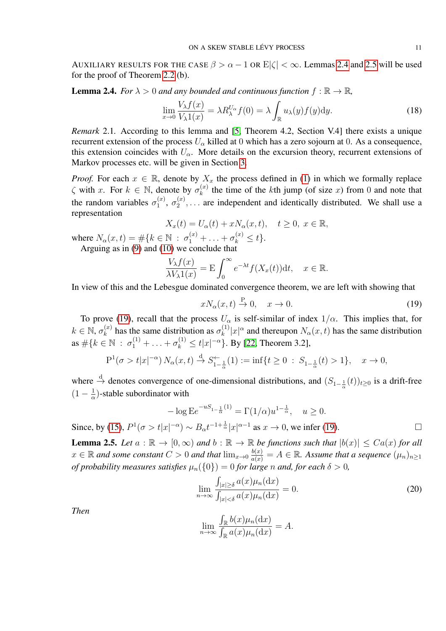AUXILIARY RESULTS FOR THE CASE  $\beta > \alpha - 1$  OR  $E|\zeta| < \infty$ . Lemmas [2.4](#page-10-0) and [2.5](#page-10-1) will be used for the proof of Theorem [2.2](#page-6-1) (b).

<span id="page-10-0"></span>**Lemma 2.4.** *For*  $\lambda > 0$  *and any bounded and continuous function*  $f : \mathbb{R} \to \mathbb{R}$ *,* 

$$
\lim_{x \to 0} \frac{V_{\lambda}f(x)}{V_{\lambda}1(x)} = \lambda R_{\lambda}^{U_{\alpha}} f(0) = \lambda \int_{\mathbb{R}} u_{\lambda}(y) f(y) \mathrm{d}y. \tag{18}
$$

<span id="page-10-4"></span>*Remark* 2.1*.* According to this lemma and [\[5,](#page-20-3) Theorem 4.2, Section V.4] there exists a unique recurrent extension of the process  $U_{\alpha}$  killed at 0 which has a zero sojourn at 0. As a consequence, this extension coincides with  $U_{\alpha}$ . More details on the excursion theory, recurrent extensions of Markov processes etc. will be given in Section [3.](#page-12-0)

*Proof.* For each  $x \in \mathbb{R}$ , denote by  $X_x$  the process defined in [\(1\)](#page-1-0) in which we formally replace  $\zeta$  with x. For  $k \in \mathbb{N}$ , denote by  $\sigma_k^{(x)}$  $\kappa_k^{(x)}$  the time of the kth jump (of size x) from 0 and note that the random variables  $\sigma_1^{(x)}$  $\mathfrak{a}_1^{(x)},\ \sigma_2^{(x)}$  $2^{(x)}$ ,... are independent and identically distributed. We shall use a representation

$$
X_x(t) = U_\alpha(t) + xN_\alpha(x, t), \quad t \ge 0, \ x \in \mathbb{R},
$$

where  $N_{\alpha}(x,t) = \#\{k \in \mathbb{N} : \sigma_1^{(x)} + \ldots + \sigma_k^{(x)} \le t\}.$ 

Arguing as in [\(9\)](#page-5-1) and [\(10\)](#page-6-0) we conclude that

$$
\frac{V_{\lambda}f(x)}{\lambda V_{\lambda}1(x)} = \mathcal{E} \int_0^{\infty} e^{-\lambda t} f(X_x(t)) \mathrm{d}t, \quad x \in \mathbb{R}.
$$

In view of this and the Lebesgue dominated convergence theorem, we are left with showing that

<span id="page-10-2"></span>
$$
xN_{\alpha}(x,t) \stackrel{\text{P}}{\rightarrow} 0, \quad x \to 0. \tag{19}
$$

To prove [\(19\)](#page-10-2), recall that the process  $U_{\alpha}$  is self-similar of index  $1/\alpha$ . This implies that, for  $k \in \mathbb{N}, \sigma_k^{(x)}$  $\kappa_k^{(x)}$  has the same distribution as  $\sigma_k^{(1)}$  $\binom{[1]}{k} |x|^{\alpha}$  and thereupon  $N_{\alpha}(x, t)$  has the same distribution as  $\#\{k \in \mathbb{N} : \sigma_1^{(1)} + \ldots + \sigma_k^{(1)} \le t |x|^{-\alpha}\}\$ . By [\[22,](#page-21-28) Theorem 3.2],

$$
P^{1}(\sigma > t|x|^{-\alpha}) N_{\alpha}(x, t) \stackrel{d}{\to} S_{1-\frac{1}{\alpha}}^{(-1)}(1) := \inf\{t \ge 0 : S_{1-\frac{1}{\alpha}}(t) > 1\}, \quad x \to 0,
$$

where  $\stackrel{\text{d}}{\rightarrow}$  denotes convergence of one-dimensional distributions, and  $(S_{1-\frac{1}{\alpha}}(t))_{t\geq 0}$  is a drift-free  $(1 - \frac{1}{2})$  $\frac{1}{\alpha}$ )-stable subordinator with

$$
-\log E e^{-uS_{1-\frac{1}{\alpha}}(1)} = \Gamma(1/\alpha)u^{1-\frac{1}{\alpha}}, \quad u \ge 0.
$$
  
Since, by (15),  $P^1(\sigma > t|x|^{-\alpha}) \sim B_{\alpha}t^{-1+\frac{1}{\alpha}}|x|^{\alpha-1}$  as  $x \to 0$ , we infer (19).

<span id="page-10-1"></span>**Lemma 2.5.** Let  $a : \mathbb{R} \to [0, \infty)$  and  $b : \mathbb{R} \to \mathbb{R}$  be functions such that  $|b(x)| \leq Ca(x)$  for all  $x \in \mathbb{R}$  and some constant  $C > 0$  and that  $\lim_{x \to 0} \frac{b(x)}{a(x)} = A \in \mathbb{R}$ . Assume that a sequence  $(\mu_n)_{n \ge 1}$ *of probability measures satisfies*  $\mu_n({0}) = 0$  *for large n and, for each*  $\delta > 0$ *,* 

<span id="page-10-3"></span>
$$
\lim_{n \to \infty} \frac{\int_{|x| \ge \delta} a(x) \mu_n(\mathrm{d}x)}{\int_{|x| < \delta} a(x) \mu_n(\mathrm{d}x)} = 0. \tag{20}
$$

*Then*

$$
\lim_{n \to \infty} \frac{\int_{\mathbb{R}} b(x) \mu_n(\mathrm{d}x)}{\int_{\mathbb{R}} a(x) \mu_n(\mathrm{d}x)} = A.
$$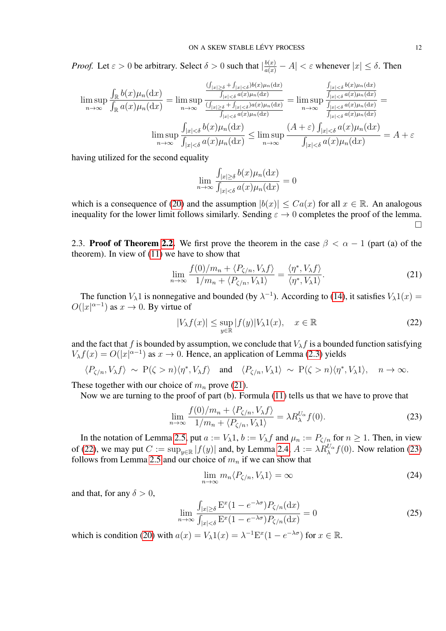*Proof.* Let  $\varepsilon > 0$  be arbitrary. Select  $\delta > 0$  such that  $|\frac{b(x)}{a(x)} - A| < \varepsilon$  whenever  $|x| \le \delta$ . Then

$$
\limsup_{n \to \infty} \frac{\int_{\mathbb{R}} b(x) \mu_n(\mathrm{d}x)}{\int_{\mathbb{R}} a(x) \mu_n(\mathrm{d}x)} = \limsup_{n \to \infty} \frac{\frac{(\int_{|x| \ge \delta} + \int_{|x| < \delta} b(x) \mu_n(\mathrm{d}x)}{\int_{|x| < \delta} a(x) \mu_n(\mathrm{d}x)}}{\frac{(\int_{|x| \ge \delta} + \int_{|x| < \delta} b(x) \mu_n(\mathrm{d}x)}{\int_{|x| < \delta} a(x) \mu_n(\mathrm{d}x)}} = \limsup_{n \to \infty} \frac{\frac{\int_{|x| < \delta} b(x) \mu_n(\mathrm{d}x)}{\int_{|x| < \delta} a(x) \mu_n(\mathrm{d}x)}}{\frac{\int_{|x| < \delta} b(x) \mu_n(\mathrm{d}x)}{\int_{|x| < \delta} a(x) \mu_n(\mathrm{d}x)}} = \limsup_{n \to \infty} \frac{\frac{\int_{|x| < \delta} b(x) \mu_n(\mathrm{d}x)}{\int_{|x| < \delta} a(x) \mu_n(\mathrm{d}x)}}{\int_{|x| < \delta} a(x) \mu_n(\mathrm{d}x)}} = \limsup_{n \to \infty} \frac{(A + \varepsilon) \int_{|x| < \delta} a(x) \mu_n(\mathrm{d}x)}{\int_{|x| < \delta} a(x) \mu_n(\mathrm{d}x)}} = A + \varepsilon
$$

having utilized for the second equality

$$
\lim_{n \to \infty} \frac{\int_{|x| \ge \delta} b(x) \mu_n(\mathrm{d}x)}{\int_{|x| < \delta} a(x) \mu_n(\mathrm{d}x)} = 0
$$

which is a consequence of [\(20\)](#page-10-3) and the assumption  $|b(x)| \leq Ca(x)$  for all  $x \in \mathbb{R}$ . An analogous inequality for the lower limit follows similarly. Sending  $\varepsilon \to 0$  completes the proof of the lemma.  $\Box$ 

2.3. Proof of Theorem [2.2.](#page-6-1) We first prove the theorem in the case  $\beta < \alpha - 1$  (part (a) of the theorem). In view of [\(11\)](#page-6-3) we have to show that

<span id="page-11-0"></span>
$$
\lim_{n \to \infty} \frac{f(0)/m_n + \langle P_{\zeta/n}, V_\lambda f \rangle}{1/m_n + \langle P_{\zeta/n}, V_\lambda 1 \rangle} = \frac{\langle \eta^*, V_\lambda f \rangle}{\langle \eta^*, V_\lambda 1 \rangle}.
$$
\n(21)

The function  $V_\lambda 1$  is nonnegative and bounded (by  $\lambda^{-1}$ ). According to [\(14\)](#page-8-0), it satisfies  $V_\lambda 1(x)$  $O(|x|^{\alpha-1})$  as  $x \to 0$ . By virtue of

<span id="page-11-1"></span>
$$
|V_{\lambda}f(x)| \le \sup_{y \in \mathbb{R}} |f(y)| V_{\lambda} 1(x), \quad x \in \mathbb{R}
$$
 (22)

and the fact that f is bounded by assumption, we conclude that  $V_\lambda f$  is a bounded function satisfying  $V_\lambda f(x) = O(|x|^{\alpha-1})$  as  $x \to 0$ . Hence, an application of Lemma [\(2.3\)](#page-8-4) yields

$$
\langle P_{\zeta/n}, V_{\lambda} f \rangle \sim P(\zeta > n) \langle \eta^*, V_{\lambda} f \rangle \quad \text{and} \quad \langle P_{\zeta/n}, V_{\lambda} 1 \rangle \sim P(\zeta > n) \langle \eta^*, V_{\lambda} 1 \rangle, \quad n \to \infty.
$$

These together with our choice of  $m_n$  prove [\(21\)](#page-11-0).

Now we are turning to the proof of part (b). Formula [\(11\)](#page-6-3) tells us that we have to prove that

<span id="page-11-2"></span>
$$
\lim_{n \to \infty} \frac{f(0)/m_n + \langle P_{\zeta/n}, V_\lambda f \rangle}{1/m_n + \langle P_{\zeta/n}, V_\lambda 1 \rangle} = \lambda R_\lambda^{U_\alpha} f(0). \tag{23}
$$

In the notation of Lemma [2.5,](#page-10-1) put  $a := V_{\lambda}1$ ,  $b := V_{\lambda}f$  and  $\mu_n := P_{\zeta/n}$  for  $n \ge 1$ . Then, in view of [\(22\)](#page-11-1), we may put  $C := \sup_{y \in \mathbb{R}} |f(y)|$  and, by Lemma [2.4,](#page-10-0)  $A := \lambda R_{\lambda}^{U_{\alpha}} f(0)$ . Now relation [\(23\)](#page-11-2) follows from Lemma [2.5](#page-10-1) and our choice of  $m_n$  if we can show that

<span id="page-11-4"></span>
$$
\lim_{n \to \infty} m_n \langle P_{\zeta/n}, V_\lambda 1 \rangle = \infty \tag{24}
$$

and that, for any  $\delta > 0$ ,

<span id="page-11-3"></span>
$$
\lim_{n \to \infty} \frac{\int_{|x| \ge \delta} \mathcal{E}^x (1 - e^{-\lambda \sigma}) P_{\zeta/n}(\mathrm{d}x)}{\int_{|x| < \delta} \mathcal{E}^x (1 - e^{-\lambda \sigma}) P_{\zeta/n}(\mathrm{d}x)} = 0 \tag{25}
$$

which is condition [\(20\)](#page-10-3) with  $a(x) = V_{\lambda} 1(x) = \lambda^{-1} E^{x} (1 - e^{-\lambda \sigma})$  for  $x \in \mathbb{R}$ .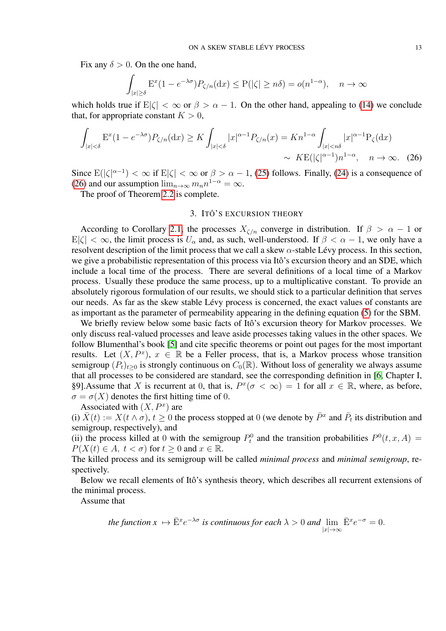Fix any  $\delta > 0$ . On the one hand,

$$
\int_{|x|\geq \delta} \mathcal{E}^x(1 - e^{-\lambda \sigma}) P_{\zeta/n}(\mathrm{d}x) \leq \mathcal{P}(|\zeta| \geq n\delta) = o(n^{1-\alpha}), \quad n \to \infty
$$

which holds true if  $E|\zeta| < \infty$  or  $\beta > \alpha - 1$ . On the other hand, appealing to [\(14\)](#page-8-0) we conclude that, for appropriate constant  $K > 0$ ,

$$
\int_{|x|<\delta} \mathcal{E}^x (1 - e^{-\lambda \sigma}) P_{\zeta/n}(\mathrm{d}x) \ge K \int_{|x|<\delta} |x|^{\alpha - 1} P_{\zeta/n}(x) = K n^{1 - \alpha} \int_{|x|
$$
\sim K \mathcal{E}(|\zeta|^{\alpha - 1}) n^{1 - \alpha}, \quad n \to \infty. \quad (26)
$$
$$

Since  $E(|\zeta|^{\alpha-1}) < \infty$  if  $E|\zeta| < \infty$  or  $\beta > \alpha - 1$ , [\(25\)](#page-11-3) follows. Finally, [\(24\)](#page-11-4) is a consequence of [\(26\)](#page-12-1) and our assumption  $\lim_{n\to\infty} m_n n^{1-\alpha} = \infty$ .

The proof of Theorem [2.2](#page-6-1) is complete.

# <span id="page-12-1"></span>3. ITÔ'S EXCURSION THEORY

<span id="page-12-0"></span>According to Corollary [2.1,](#page-7-0) the processes  $X_{\zeta/n}$  converge in distribution. If  $\beta > \alpha - 1$  or  $E|\zeta| < \infty$ , the limit process is  $U_{\alpha}$  and, as such, well-understood. If  $\beta < \alpha - 1$ , we only have a resolvent description of the limit process that we call a skew  $\alpha$ -stable Lévy process. In this section, we give a probabilistic representation of this process via Itô's excursion theory and an SDE, which include a local time of the process. There are several definitions of a local time of a Markov process. Usually these produce the same process, up to a multiplicative constant. To provide an absolutely rigorous formulation of our results, we should stick to a particular definition that serves our needs. As far as the skew stable Lévy process is concerned, the exact values of constants are as important as the parameter of permeability appearing in the defining equation [\(5\)](#page-2-2) for the SBM.

We briefly review below some basic facts of Itô's excursion theory for Markov processes. We only discuss real-valued processes and leave aside processes taking values in the other spaces. We follow Blumenthal's book [\[5\]](#page-20-3) and cite specific theorems or point out pages for the most important results. Let  $(X, P^x)$ ,  $x \in \mathbb{R}$  be a Feller process, that is, a Markov process whose transition semigroup  $(P_t)_{t\geq0}$  is strongly continuous on  $C_0(\mathbb{R})$ . Without loss of generality we always assume that all processes to be considered are standard, see the corresponding definition in [\[6,](#page-21-29) Chapter I, §9]. Assume that X is recurrent at 0, that is,  $P^x(\sigma < \infty) = 1$  for all  $x \in \mathbb{R}$ , where, as before,  $\sigma = \sigma(X)$  denotes the first hitting time of 0.

Associated with  $(X, P^x)$  are

(i)  $\bar{X}(t) := X(t \wedge \sigma), t \geq 0$  the process stopped at 0 (we denote by  $\bar{P}^x$  and  $\bar{P}_t$  its distribution and semigroup, respectively), and

(ii) the process killed at 0 with the semigroup  $P_t^0$  and the transition probabilities  $P^0(t, x, A) =$  $P(X(t) \in A, t < \sigma)$  for  $t \geq 0$  and  $x \in \mathbb{R}$ .

The killed process and its semigroup will be called *minimal process* and *minimal semigroup*, respectively.

Below we recall elements of Itô's synthesis theory, which describes all recurrent extensions of the minimal process.

Assume that

the function 
$$
x \mapsto \bar{E}^x e^{-\lambda \sigma}
$$
 is continuous for each  $\lambda > 0$  and  $\lim_{|x| \to \infty} \bar{E}^x e^{-\sigma} = 0$ .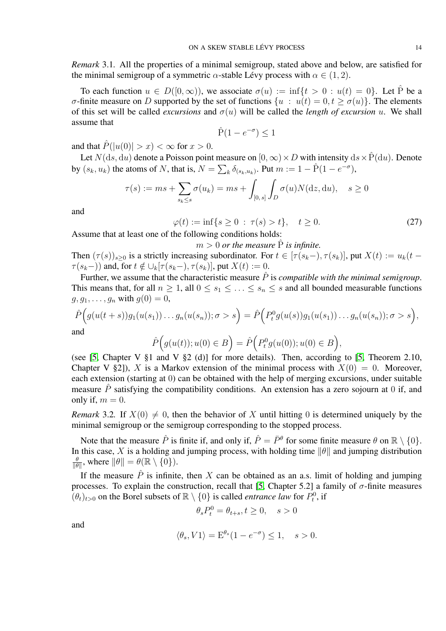*Remark* 3.1*.* All the properties of a minimal semigroup, stated above and below, are satisfied for the minimal semigroup of a symmetric  $\alpha$ -stable Lévy process with  $\alpha \in (1, 2)$ .

To each function  $u \in D([0,\infty))$ , we associate  $\sigma(u) := \inf\{t > 0 : u(t) = 0\}$ . Let  $\hat{P}$  be a σ-finite measure on D supported by the set of functions  $\{u : u(t) = 0, t \geq \sigma(u)\}\)$ . The elements of this set will be called *excursions* and  $\sigma(u)$  will be called the *length of excursion* u. We shall assume that

$$
\hat{P}(1 - e^{-\sigma}) \le 1
$$

and that  $\hat{P}(|u(0)| > x) < \infty$  for  $x > 0$ .

Let  $N(ds, du)$  denote a Poisson point measure on  $[0, \infty) \times D$  with intensity  $ds \times \hat{P}(du)$ . Denote by  $(s_k, u_k)$  the atoms of N, that is,  $N = \sum_k \delta_{(s_k, u_k)}$ . Put  $m := 1 - \hat{P}(1 - e^{-\sigma})$ ,

$$
\tau(s) := ms + \sum_{s_k \le s} \sigma(u_k) = ms + \int_{[0, s]} \int_D \sigma(u) N(\mathrm{d}z, \mathrm{d}u), \quad s \ge 0
$$

and

<span id="page-13-0"></span>
$$
\varphi(t) := \inf\{s \ge 0 \; : \; \tau(s) > t\}, \quad t \ge 0. \tag{27}
$$

Assume that at least one of the following conditions holds:

 $m > 0$  *or the measure*  $\hat{P}$  *is infinite.* Then  $(\tau(s))_{s\geq 0}$  is a strictly increasing subordinator. For  $t \in [\tau(s_k-), \tau(s_k)]$ , put  $X(t) := u_k(t \tau(s_k-)$  and, for  $t \notin \bigcup_k [\tau(s_k-), \tau(s_k)]$ , put  $X(t) := 0$ .

Further, we assume that the characteristic measure  $\hat{P}$  is *compatible with the minimal semigroup*. This means that, for all  $n \geq 1$ , all  $0 \leq s_1 \leq \ldots \leq s_n \leq s$  and all bounded measurable functions  $g, g_1, \ldots, g_n$  with  $g(0) = 0$ ,

$$
\hat{P}\Big(g(u(t+s))g_1(u(s_1))\dots g_n(u(s_n));\sigma>s\Big)=\hat{P}\Big(P_t^0g(u(s))g_1(u(s_1))\dots g_n(u(s_n));\sigma>s\Big),\text{and}
$$

and

$$
\hat{P}\Big(g(u(t));u(0)\in B\Big)=\hat{P}\Big(P_t^0g(u(0));u(0)\in B\Big),
$$

(see [\[5,](#page-20-3) Chapter V  $\S1$  and V  $\S2$  (d)] for more details). Then, according to [5, Theorem 2.10, Chapter V §2]), X is a Markov extension of the minimal process with  $X(0) = 0$ . Moreover, each extension (starting at 0) can be obtained with the help of merging excursions, under suitable measure  $\hat{P}$  satisfying the compatibility conditions. An extension has a zero sojourn at 0 if, and only if,  $m = 0$ .

*Remark* 3.2. If  $X(0) \neq 0$ , then the behavior of X until hitting 0 is determined uniquely by the minimal semigroup or the semigroup corresponding to the stopped process.

Note that the measure  $\hat{P}$  is finite if, and only if,  $\hat{P} = \bar{P}^{\theta}$  for some finite measure  $\theta$  on  $\mathbb{R} \setminus \{0\}$ . In this case, X is a holding and jumping process, with holding time  $\|\theta\|$  and jumping distribution θ  $\frac{\theta}{\|\theta\|}$ , where  $\|\theta\| = \theta(\mathbb{R} \setminus \{0\}).$ 

If the measure  $\hat{P}$  is infinite, then X can be obtained as an a.s. limit of holding and jumping processes. To explain the construction, recall that [\[5,](#page-20-3) Chapter 5.2] a family of  $\sigma$ -finite measures  $(\theta_t)_{t>0}$  on the Borel subsets of  $\mathbb{R} \setminus \{0\}$  is called *entrance law* for  $P_t^0$ , if

$$
\theta_s P_t^0 = \theta_{t+s}, t\geq 0, \quad s>0
$$

and

$$
\langle \theta_s, V1 \rangle = \mathcal{E}^{\theta_s} (1 - e^{-\sigma}) \le 1, \quad s > 0.
$$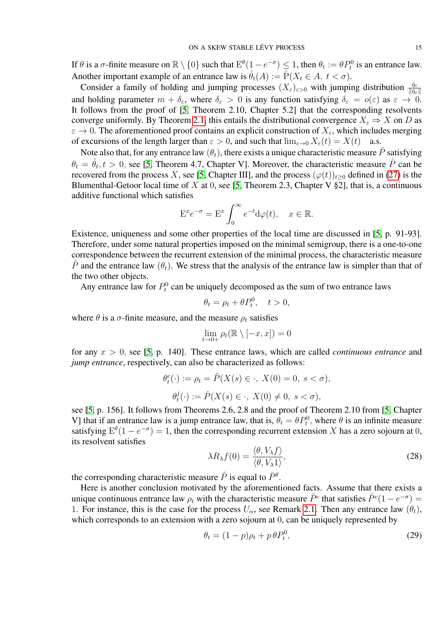If  $\theta$  is a  $\sigma$ -finite measure on  $\mathbb{R} \setminus \{0\}$  such that  $E^{\theta}(1 - e^{-\sigma}) \leq 1$ , then  $\theta_t := \theta P_t^0$  is an entrance law. Another important example of an entrance law is  $\hat{\theta}_t(A) := \hat{P}(X_t \in A, t < \sigma)$ .

Consider a family of holding and jumping processes  $(X_{\varepsilon})_{\varepsilon>0}$  with jumping distribution  $\frac{\hat{\eta}_{\varepsilon}}{\|\hat{\eta}_{\varepsilon}\|}$ and holding parameter  $m + \delta_{\varepsilon}$ , where  $\delta_{\varepsilon} > 0$  is any function satisfying  $\delta_{\varepsilon} = o(\varepsilon)$  as  $\varepsilon \to 0$ . It follows from the proof of [\[5,](#page-20-3) Theorem 2.10, Chapter 5.2] that the corresponding resolvents converge uniformly. By Theorem [2.1,](#page-5-0) this entails the distributional convergence  $X_{\varepsilon} \Rightarrow X$  on D as  $\varepsilon \to 0$ . The aforementioned proof contains an explicit construction of  $X_{\varepsilon}$ , which includes merging of excursions of the length larger than  $\varepsilon > 0$ , and such that  $\lim_{\varepsilon \to 0} X_{\varepsilon}(t) = X(t)$  a.s.

Note also that, for any entrance law  $(\theta_t)$ , there exists a unique characteristic measure  $\hat{P}$  satisfying  $\theta_t = \hat{\theta}_t, t > 0$ , see [\[5,](#page-20-3) Theorem 4.7, Chapter V]. Moreover, the characteristic measure  $\hat{P}$  can be recovered from the process X, see [\[5,](#page-20-3) Chapter III], and the process  $(\varphi(t))_{t\geq0}$  defined in [\(27\)](#page-13-0) is the Blumenthal-Getoor local time of X at 0, see [\[5,](#page-20-3) Theorem 2.3, Chapter V  $\S2$ ], that is, a continuous additive functional which satisfies

$$
\mathcal{E}^x e^{-\sigma} = \mathcal{E}^x \int_0^\infty e^{-t} \mathrm{d}\varphi(t), \quad x \in \mathbb{R}.
$$

Existence, uniqueness and some other properties of the local time are discussed in [\[5,](#page-20-3) p. 91-93]. Therefore, under some natural properties imposed on the minimal semigroup, there is a one-to-one correspondence between the recurrent extension of the minimal process, the characteristic measure  $\hat{P}$  and the entrance law  $(\theta_t)$ . We stress that the analysis of the entrance law is simpler than that of the two other objects.

Any entrance law for  $P_t^0$  can be uniquely decomposed as the sum of two entrance laws

$$
\theta_t = \rho_t + \theta P_t^0, \quad t > 0,
$$

where  $\theta$  is a  $\sigma$ -finite measure, and the measure  $\rho_t$  satisfies

$$
\lim_{t \to 0+} \rho_t(\mathbb{R} \setminus [-x, x]) = 0
$$

for any x > 0, see [\[5,](#page-20-3) p. 140]. These entrance laws, which are called *continuous entrance* and *jump entrance*, respectively, can also be characterized as follows:

$$
\theta_t^c(\cdot) := \rho_t = \hat{P}(X(s) \in \cdot, X(0) = 0, s < \sigma),
$$
  

$$
\theta_t^j(\cdot) := \hat{P}(X(s) \in \cdot, X(0) \neq 0, s < \sigma),
$$

see [\[5,](#page-20-3) p. 156]. It follows from Theorems 2.6, 2.8 and the proof of Theorem 2.10 from [\[5,](#page-20-3) Chapter V] that if an entrance law is a jump entrance law, that is,  $\theta_t = \theta P_t^0$ , where  $\theta$  is an infinite measure satisfying  $E^{\theta}(1-e^{-\sigma})=1$ , then the corresponding recurrent extension X has a zero sojourn at 0, its resolvent satisfies

<span id="page-14-0"></span>
$$
\lambda R_{\lambda} f(0) = \frac{\langle \theta, V_{\lambda} f \rangle}{\langle \theta, V_{\lambda} 1 \rangle},\tag{28}
$$

the corresponding characteristic measure  $\hat{P}$  is equal to  $\bar{P}^{\theta}$ .

Here is another conclusion motivated by the aforementioned facts. Assume that there exists a unique continuous entrance law  $\rho_t$  with the characteristic measure  $\hat{P}^c$  that satisfies  $\hat{P}^c(1-e^{-\sigma})=$ 1. For instance, this is the case for the process  $U_{\alpha}$ , see Remark [2.1.](#page-10-4) Then any entrance law  $(\theta_t)$ , which corresponds to an extension with a zero sojourn at 0, can be uniquely represented by

<span id="page-14-1"></span>
$$
\theta_t = (1 - p)\rho_t + p\,\theta P_t^0,\tag{29}
$$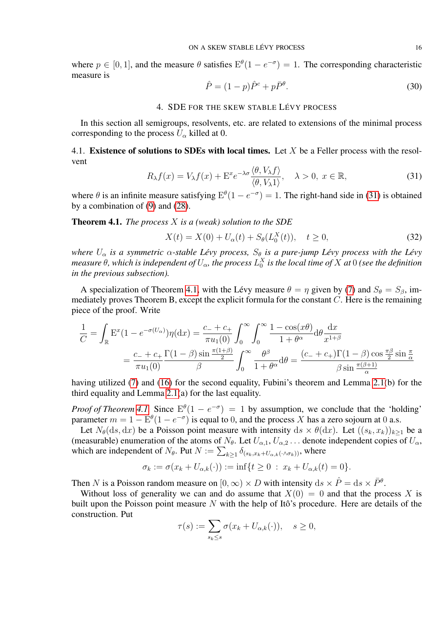where  $p \in [0, 1]$ , and the measure  $\theta$  satisfies  $E^{\theta}(1 - e^{-\sigma}) = 1$ . The corresponding characteristic measure is

<span id="page-15-4"></span>
$$
\hat{P} = (1 - p)\hat{P}^c + p\bar{P}^\theta.
$$
\n(30)

### 4. SDE FOR THE SKEW STABLE LÉVY PROCESS

<span id="page-15-0"></span>In this section all semigroups, resolvents, etc. are related to extensions of the minimal process corresponding to the process  $U_{\alpha}$  killed at 0.

4.1. Existence of solutions to SDEs with local times. Let  $X$  be a Feller process with the resolvent  $\overline{A}$   $\overline{A}$   $\overline{B}$ 

<span id="page-15-1"></span>
$$
R_{\lambda}f(x) = V_{\lambda}f(x) + \mathcal{E}^{x}e^{-\lambda\sigma}\frac{\langle\theta, V_{\lambda}f\rangle}{\langle\theta, V_{\lambda}1\rangle}, \quad \lambda > 0, \ x \in \mathbb{R},
$$
\n(31)

where  $\theta$  is an infinite measure satisfying  $E^{\theta}(1 - e^{-\sigma}) = 1$ . The right-hand side in [\(31\)](#page-15-1) is obtained by a combination of [\(9\)](#page-5-1) and [\(28\)](#page-14-0).

<span id="page-15-2"></span>Theorem 4.1. *The process* X *is a (weak) solution to the SDE*

<span id="page-15-3"></span>
$$
X(t) = X(0) + U_{\alpha}(t) + S_{\theta}(L_0^X(t)), \quad t \ge 0,
$$
\n(32)

*where*  $U_{\alpha}$  *is a symmetric*  $\alpha$ -stable Lévy process,  $S_{\theta}$  *is a pure-jump Lévy process with the Lévy* measure  $\theta$ , which is independent of  $U_\alpha$ , the process  $L_0^X$  is the local time of  $X$  at  $0$  (see the definition *in the previous subsection).*

A specialization of Theorem [4.1,](#page-15-2) with the Lévy measure  $\theta = \eta$  given by [\(7\)](#page-3-1) and  $S_{\theta} = S_{\beta}$ , immediately proves Theorem B, except the explicit formula for the constant  $C$ . Here is the remaining piece of the proof. Write

$$
\frac{1}{C} = \int_{\mathbb{R}} \mathbf{E}^x (1 - e^{-\sigma(U_\alpha)}) \eta(\mathrm{d}x) = \frac{c_- + c_+}{\pi u_1(0)} \int_0^\infty \int_0^\infty \frac{1 - \cos(x\theta)}{1 + \theta^\alpha} \mathrm{d}\theta \frac{\mathrm{d}x}{x^{1+\beta}}
$$

$$
= \frac{c_- + c_+}{\pi u_1(0)} \frac{\Gamma(1-\beta)\sin\frac{\pi(1+\beta)}{2}}{\beta} \int_0^\infty \frac{\theta^\beta}{1 + \theta^\alpha} \mathrm{d}\theta = \frac{(c_- + c_+) \Gamma(1-\beta)\cos\frac{\pi\beta}{2}\sin\frac{\pi}{\alpha}}{\beta\sin\frac{\pi(\beta+1)}{\alpha}}
$$

having utilized [\(7\)](#page-3-1) and [\(16\)](#page-8-3) for the second equality, Fubini's theorem and Lemma [2.1\(](#page-7-1)b) for the third equality and Lemma [2.1\(](#page-7-1)a) for the last equality.

*Proof of Theorem [4.1.](#page-15-2)* Since  $E^{\theta}(1 - e^{-\sigma}) = 1$  by assumption, we conclude that the 'holding' parameter  $m = 1 - E^{\theta} (1 - e^{-\sigma})$  is equal to 0, and the process X has a zero sojourn at 0 a.s.

Let  $N_{\theta}(ds, dx)$  be a Poisson point measure with intensity  $ds \times \theta(dx)$ . Let  $((s_k, x_k))_{k\geq 1}$  be a (measurable) enumeration of the atoms of  $N_{\theta}$ . Let  $U_{\alpha,1}$ ,  $U_{\alpha,2}$ ... denote independent copies of  $U_{\alpha}$ , which are independent of  $N_{\theta}$ . Put  $N := \sum_{k \geq 1} \delta_{(s_k, x_k + U_{\alpha,k}(\cdot \wedge \sigma_k))}$ , where

$$
\sigma_k := \sigma(x_k + U_{\alpha,k}(\cdot)) := \inf\{t \ge 0 \; : \; x_k + U_{\alpha,k}(t) = 0\}.
$$

Then N is a Poisson random measure on  $[0, \infty) \times D$  with intensity  $ds \times \hat{P} = ds \times \bar{P}^{\theta}$ .

Without loss of generality we can and do assume that  $X(0) = 0$  and that the process X is built upon the Poisson point measure  $N$  with the help of Itô's procedure. Here are details of the construction. Put

$$
\tau(s) := \sum_{s_k \le s} \sigma(x_k + U_{\alpha,k}(\cdot)), \quad s \ge 0,
$$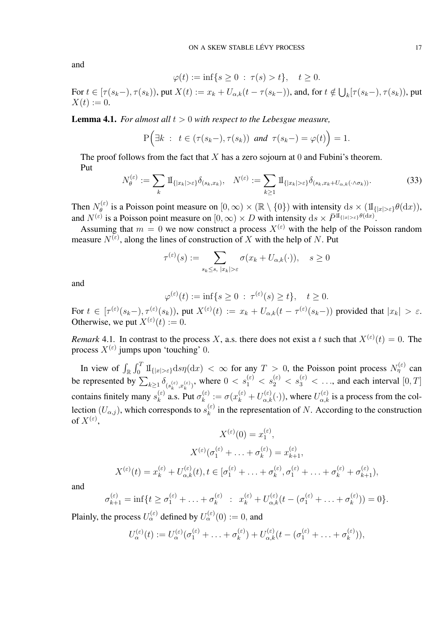and

$$
\varphi(t) := \inf\{s \ge 0 \; : \; \tau(s) > t\}, \quad t \ge 0.
$$

For  $t \in [\tau(s_k-), \tau(s_k))$ , put  $X(t) := x_k + U_{\alpha,k}(t-\tau(s_k-))$ , and, for  $t \notin \bigcup_k [\tau(s_k-), \tau(s_k))$ , put  $X(t) := 0.$ 

<span id="page-16-0"></span>Lemma 4.1. *For almost all*  $t > 0$  *with respect to the Lebesgue measure,* 

$$
P\Big(\exists k : t \in (\tau(s_k-), \tau(s_k)) \text{ and } \tau(s_k-) = \varphi(t)\Big) = 1.
$$

The proof follows from the fact that  $X$  has a zero sojourn at 0 and Fubini's theorem. Put

<span id="page-16-1"></span>
$$
N_{\theta}^{(\varepsilon)} := \sum_{k} \mathrm{1}_{\{|x_k| > \varepsilon\}} \delta_{(s_k, x_k)}, \quad N^{(\varepsilon)} := \sum_{k \ge 1} \mathrm{1}_{\{|x_k| > \varepsilon\}} \delta_{(s_k, x_k + U_{\alpha, k}(\cdot \wedge \sigma_k))}.
$$
 (33)

Then  $N_{\theta}^{(\varepsilon)}$  $\mathcal{H}_{\theta}^{(\varepsilon)}$  is a Poisson point measure on  $[0,\infty)\times(\mathbb{R}\setminus\{0\})$  with intensity  $\mathrm{d}s\times(\mathrm{1\!I}_{\{|x|>\varepsilon\}}\theta(\mathrm{d}x)),$ and  $N^{(\varepsilon)}$  is a Poisson point measure on  $[0, \infty) \times D$  with intensity  $ds \times \bar{P}^{\mathrm{II}}_{\{|x| > \varepsilon\}} \theta(\mathrm{d}x)$ .

Assuming that  $m = 0$  we now construct a process  $X^{(\varepsilon)}$  with the help of the Poisson random measure  $N^{(\varepsilon)}$ , along the lines of construction of X with the help of N. Put

$$
\tau^{(\varepsilon)}(s) := \sum_{s_k \le s, \ |x_k| > \varepsilon} \sigma(x_k + U_{\alpha,k}(\cdot)), \quad s \ge 0
$$

and

$$
\varphi^{(\varepsilon)}(t) := \inf\{s \ge 0 \; : \; \tau^{(\varepsilon)}(s) \ge t\}, \quad t \ge 0.
$$

For  $t \in [\tau^{(\varepsilon)}(s_k-), \tau^{(\varepsilon)}(s_k))$ , put  $X^{(\varepsilon)}(t) := x_k + U_{\alpha,k}(t-\tau^{(\varepsilon)}(s_k-))$  provided that  $|x_k| > \varepsilon$ . Otherwise, we put  $X^{(\varepsilon)}(t) := 0$ .

*Remark* 4.1. In contrast to the process X, a.s. there does not exist a t such that  $X^{(\varepsilon)}(t) = 0$ . The process  $X^{(\varepsilon)}$  jumps upon 'touching' 0.

In view of  $\int_{\mathbb{R}} \int_0^T 1\!\mathrm{1}_{\{|x|>\varepsilon\}} \mathrm{d} s \eta(\mathrm{d} x) < \infty$  for any  $T > 0$ , the Poisson point process  $N_\eta^{(\varepsilon)}$  can be represented by  $\sum_{k\geq 1}\delta_{(s_k^{(\varepsilon)},x_k^{(\varepsilon)})}$ , where  $0 < s_1^{(\varepsilon)} < s_2^{(\varepsilon)} < s_3^{(\varepsilon)} < \dots$ , and each interval  $[0,T]$ contains finitely many  $s_k^{(\varepsilon)}$  $_{k}^{(\varepsilon)}$  a.s. Put  $\sigma_{k}^{(\varepsilon)}$  $k_k^{(\varepsilon)} := \sigma(x_k^{(\varepsilon)} + U_{\alpha,k}^{(\varepsilon)}(\cdot))$ , where  $U_{\alpha,k}^{(\varepsilon)}$  is a process from the collection  $(U_{\alpha,j})$ , which corresponds to  $s_k^{(\varepsilon)}$  $\binom{\infty}{k}$  in the representation of N. According to the construction of  $X^{(\varepsilon)}$ ,

$$
X^{(\varepsilon)}(0) = x_1^{(\varepsilon)},
$$
  
\n
$$
X^{(\varepsilon)}(\sigma_1^{(\varepsilon)} + \dots + \sigma_k^{(\varepsilon)}) = x_{k+1}^{(\varepsilon)},
$$
  
\n
$$
X^{(\varepsilon)}(t) = x_k^{(\varepsilon)} + U_{\alpha,k}^{(\varepsilon)}(t), t \in [\sigma_1^{(\varepsilon)} + \dots + \sigma_k^{(\varepsilon)}, \sigma_1^{(\varepsilon)} + \dots + \sigma_k^{(\varepsilon)} + \sigma_{k+1}^{(\varepsilon)}),
$$

and

$$
\sigma_{k+1}^{(\varepsilon)} = \inf \{ t \ge \sigma_1^{(\varepsilon)} + \ldots + \sigma_k^{(\varepsilon)} \ : \ x_k^{(\varepsilon)} + U_{\alpha,k}^{(\varepsilon)} (t - (\sigma_1^{(\varepsilon)} + \ldots + \sigma_k^{(\varepsilon)})) = 0 \}.
$$

Plainly, the process  $U_{\alpha}^{(\varepsilon)}$  defined by  $U_{\alpha}^{(\varepsilon)}(0) := 0$ , and

$$
U_{\alpha}^{(\varepsilon)}(t) := U_{\alpha}^{(\varepsilon)}(\sigma_1^{(\varepsilon)} + \ldots + \sigma_k^{(\varepsilon)}) + U_{\alpha,k}^{(\varepsilon)}(t - (\sigma_1^{(\varepsilon)} + \ldots + \sigma_k^{(\varepsilon)})),
$$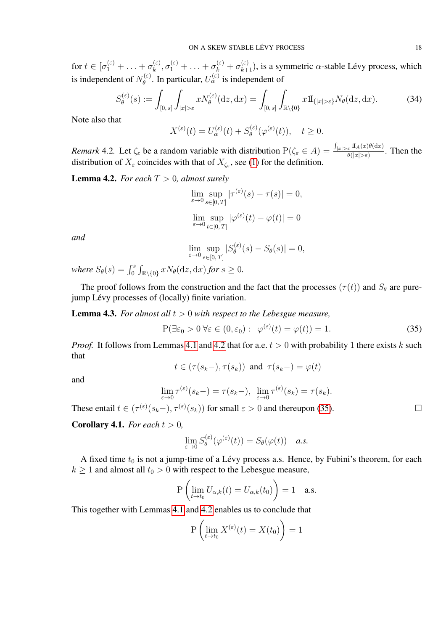for  $t \in [\sigma_1^{(\varepsilon)} + \ldots + \sigma_k^{(\varepsilon)}]$  $k_k^{(\varepsilon)}, \sigma_1^{(\varepsilon)} + \ldots + \sigma_k^{(\varepsilon)} + \sigma_{k+1}^{(\varepsilon)}$ , is a symmetric  $\alpha$ -stable Lévy process, which is independent of  $N_{\theta}^{(\varepsilon)}$  $\theta_{\theta}^{(\varepsilon)}$ . In particular,  $U_{\alpha}^{(\varepsilon)}$  is independent of

<span id="page-17-3"></span>
$$
S_{\theta}^{(\varepsilon)}(s) := \int_{[0,s]} \int_{|x|>\varepsilon} x N_{\theta}^{(\varepsilon)}(\mathrm{d}z, \mathrm{d}x) = \int_{[0,s]} \int_{\mathbb{R}\setminus\{0\}} x \mathrm{1}_{\{|x|>\varepsilon\}} N_{\theta}(\mathrm{d}z, \mathrm{d}x). \tag{34}
$$

Note also that

$$
X^{(\varepsilon)}(t) = U^{(\varepsilon)}_{\alpha}(t) + S^{(\varepsilon)}_{\theta}(\varphi^{(\varepsilon)}(t)), \quad t \ge 0.
$$

*Remark* 4.2. Let  $\zeta_{\varepsilon}$  be a random variable with distribution  $P(\zeta_{\varepsilon} \in A) = \frac{\int_{|x| > \varepsilon} II_A(x) \theta(dx)}{\theta(|x| > \varepsilon)}$  $\frac{\varepsilon^{\max(A(\omega)\circ(\alpha\omega))}}{\theta(|x|>\varepsilon)}$ . Then the distribution of  $X_{\varepsilon}$  coincides with that of  $X_{\zeta_{\varepsilon}}$ , see [\(1\)](#page-1-0) for the definition.

<span id="page-17-0"></span>**Lemma 4.2.** *For each*  $T > 0$ *, almost surely* 

$$
\lim_{\varepsilon \to 0} \sup_{s \in [0,T]} |\tau^{(\varepsilon)}(s) - \tau(s)| = 0,
$$
  

$$
\lim_{\varepsilon \to 0} \sup_{t \in [0,T]} |\varphi^{(\varepsilon)}(t) - \varphi(t)| = 0
$$

*and*

$$
\lim_{\varepsilon \to 0} \sup_{s \in [0, T]} |S_{\theta}^{(\varepsilon)}(s) - S_{\theta}(s)| = 0,
$$

where  $S_{\theta}(s) = \int_0^s \int_{\mathbb{R}\setminus\{0\}} x N_{\theta}(\mathrm{d}z, \mathrm{d}x)$  for  $s \geq 0$ .

The proof follows from the construction and the fact that the processes  $(\tau(t))$  and  $S_{\theta}$  are purejump Lévy processes of (locally) finite variation.

<span id="page-17-4"></span>Lemma 4.3. *For almost all* t > 0 *with respect to the Lebesgue measure,*

<span id="page-17-1"></span>
$$
P(\exists \varepsilon_0 > 0 \,\forall \varepsilon \in (0, \varepsilon_0) : \varphi^{(\varepsilon)}(t) = \varphi(t)) = 1. \tag{35}
$$

*Proof.* It follows from Lemmas [4.1](#page-16-0) and [4.2](#page-17-0) that for a.e.  $t > 0$  with probability 1 there exists k such that

$$
t \in (\tau(s_k-), \tau(s_k))
$$
 and  $\tau(s_k-) = \varphi(t)$ 

and

$$
\lim_{\varepsilon \to 0} \tau^{(\varepsilon)}(s_k -) = \tau(s_k -), \ \lim_{\varepsilon \to 0} \tau^{(\varepsilon)}(s_k) = \tau(s_k).
$$

These entail  $t \in (\tau^{(\varepsilon)}(s_k-), \tau^{(\varepsilon)}(s_k))$  for small  $\varepsilon > 0$  and thereupon [\(35\)](#page-17-1).

<span id="page-17-2"></span>**Corollary 4.1.** *For each*  $t > 0$ *,* 

$$
\lim_{\varepsilon \to 0} S_{\theta}^{(\varepsilon)}(\varphi^{(\varepsilon)}(t)) = S_{\theta}(\varphi(t)) \quad a.s.
$$

A fixed time  $t_0$  is not a jump-time of a Lévy process a.s. Hence, by Fubini's theorem, for each  $k \geq 1$  and almost all  $t_0 > 0$  with respect to the Lebesgue measure,

$$
P\left(\lim_{t\to t_0} U_{\alpha,k}(t) = U_{\alpha,k}(t_0)\right) = 1 \quad \text{a.s.}
$$

This together with Lemmas [4.1](#page-16-0) and [4.2](#page-17-0) enables us to conclude that

$$
P\left(\lim_{t\to t_0} X^{(\varepsilon)}(t) = X(t_0)\right) = 1
$$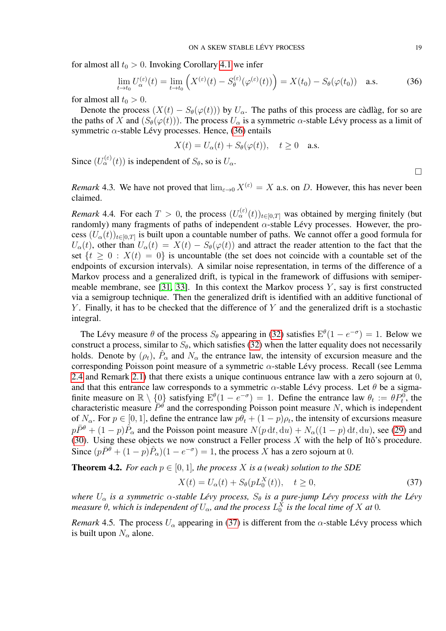for almost all  $t_0 > 0$ . Invoking Corollary [4.1](#page-17-2) we infer

<span id="page-18-0"></span>
$$
\lim_{t \to t_0} U_{\alpha}^{(\varepsilon)}(t) = \lim_{t \to t_0} \left( X^{(\varepsilon)}(t) - S_{\theta}^{(\varepsilon)}(\varphi^{(\varepsilon)}(t)) \right) = X(t_0) - S_{\theta}(\varphi(t_0)) \quad \text{a.s.}
$$
 (36)

for almost all  $t_0 > 0$ .

Denote the process  $(X(t) - S_{\theta}(\varphi(t)))$  by  $U_{\alpha}$ . The paths of this process are càdlàg, for so are the paths of X and  $(S_{\theta}(\varphi(t)))$ . The process  $U_{\alpha}$  is a symmetric  $\alpha$ -stable Lévy process as a limit of symmetric  $\alpha$ -stable Lévy processes. Hence, [\(36\)](#page-18-0) entails

$$
X(t) = U_{\alpha}(t) + S_{\theta}(\varphi(t)), \quad t \ge 0 \quad \text{a.s.}
$$

Since  $(U_{\alpha}^{(\varepsilon)}(t))$  is independent of  $S_{\theta}$ , so is  $U_{\alpha}$ .

*Remark* 4.3. We have not proved that  $\lim_{\epsilon \to 0} X^{(\epsilon)} = X$  a.s. on D. However, this has never been claimed.

*Remark* 4.4. For each  $T > 0$ , the process  $(U^{(\varepsilon)}_{\alpha}(t))_{t \in [0,T]}$  was obtained by merging finitely (but randomly) many fragments of paths of independent  $\alpha$ -stable Lévy processes. However, the process  $(U_\alpha(t))_{t\in[0,T]}$  is built upon a countable number of paths. We cannot offer a good formula for  $U_{\alpha}(t)$ , other than  $U_{\alpha}(t) = X(t) - S_{\theta}(\varphi(t))$  and attract the reader attention to the fact that the set  $\{t \geq 0 : X(t) = 0\}$  is uncountable (the set does not coincide with a countable set of the endpoints of excursion intervals). A similar noise representation, in terms of the difference of a Markov process and a generalized drift, is typical in the framework of diffusions with semiper-meable membrane, see [\[31,](#page-21-1) [33\]](#page-21-30). In this context the Markov process  $Y$ , say is first constructed via a semigroup technique. Then the generalized drift is identified with an additive functional of  $Y$ . Finally, it has to be checked that the difference of  $Y$  and the generalized drift is a stochastic integral.

The Lévy measure  $\theta$  of the process  $S_{\theta}$  appearing in [\(32\)](#page-15-3) satisfies  $E^{\theta}(1 - e^{-\sigma}) = 1$ . Below we construct a process, similar to  $S_{\theta}$ , which satisfies [\(32\)](#page-15-3) when the latter equality does not necessarily holds. Denote by  $(\rho_t)$ ,  $\hat{P}_{\alpha}$  and  $N_{\alpha}$  the entrance law, the intensity of excursion measure and the corresponding Poisson point measure of a symmetric  $\alpha$ -stable Lévy process. Recall (see Lemma [2.4](#page-10-0) and Remark [2.1\)](#page-10-4) that there exists a unique continuous entrance law with a zero sojourn at 0, and that this entrance law corresponds to a symmetric  $\alpha$ -stable Lévy process. Let  $\theta$  be a sigmafinite measure on  $\mathbb{R} \setminus \{0\}$  satisfying  $E^{\theta}(1 - e^{-\sigma}) = 1$ . Define the entrance law  $\theta_t := \theta P_t^0$ , the characteristic measure  $\bar{P}^{\dot{\theta}}$  and the corresponding Poisson point measure N, which is independent of  $N_{\alpha}$ . For  $p \in [0, 1]$ , define the entrance law  $p\theta_t + (1 - p)\rho_t$ , the intensity of excursions measure  $p\bar{P}^{\theta} + (1-p)\hat{P}_{\alpha}$  and the Poisson point measure  $N(p \, dt, du) + N_{\alpha}((1-p) \, dt, du)$ , see [\(29\)](#page-14-1) and [\(30\)](#page-15-4). Using these objects we now construct a Feller process  $X$  with the help of Itô's procedure. Since  $(p\bar{P}^{\theta} + (1-p)\hat{P}_{\alpha})(1 - e^{-\sigma}) = 1$ , the process X has a zero sojourn at 0.

<span id="page-18-2"></span>**Theorem 4.2.** *For each*  $p \in [0, 1]$ *, the process* X *is a (weak) solution to the SDE* 

<span id="page-18-1"></span>
$$
X(t) = U_{\alpha}(t) + S_{\theta}(pL_0^X(t)), \quad t \ge 0,
$$
\n(37)

*where*  $U_{\alpha}$  *is a symmetric*  $\alpha$ -stable Lévy process,  $S_{\theta}$  *is a pure-jump Lévy process with the Lévy measure*  $\theta$ , which is independent of  $U_{\alpha}$ , and the process  $L_{0}^{X}$  is the local time of  $X$  at  $0$ .

*Remark* 4.5. The process  $U_{\alpha}$  appearing in [\(37\)](#page-18-1) is different from the  $\alpha$ -stable Lévy process which is built upon  $N_\alpha$  alone.

 $\Box$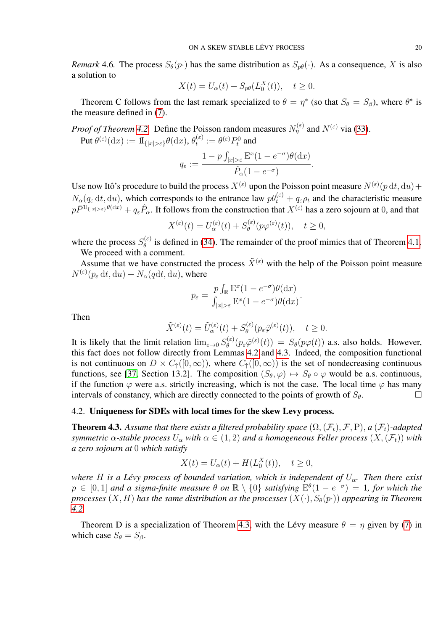*Remark* 4.6. The process  $S_{\theta}(p)$  has the same distribution as  $S_{p\theta}(\cdot)$ . As a consequence, X is also a solution to

$$
X(t) = U_{\alpha}(t) + S_{p\theta}(L_0^X(t)), \quad t \ge 0.
$$

Theorem C follows from the last remark specialized to  $\theta = \eta^*$  (so that  $S_{\theta} = S_{\beta}$ ), where  $\theta^*$  is the measure defined in [\(7\)](#page-3-1).

*Proof of Theorem [4.2.](#page-18-2)* Define the Poisson random measures  $N_{\eta}^{(\varepsilon)}$  and  $N^{(\varepsilon)}$  via [\(33\)](#page-16-1).

 $\operatorname{Put}\theta^{(\varepsilon)}(\textup{d} x):=\mathrm{1}\!\mathrm{I}_{\{|x|>\varepsilon\}}\theta(\textup{d} x),\theta_t^{(\varepsilon)}$  $t^{(\varepsilon)} := \theta^{(\varepsilon)} P_t^0$  and

$$
q_{\varepsilon} := \frac{1 - p \int_{|x| > \varepsilon} \mathcal{E}^x (1 - e^{-\sigma}) \theta(\mathrm{d}x)}{\hat{P}_{\alpha} (1 - e^{-\sigma})}.
$$

Use now Itô's procedure to build the process  $X^{(\varepsilon)}$  upon the Poisson point measure  $N^{(\varepsilon)}(p \, dt, du)$  +  $N_\alpha(q_\varepsilon dt, du)$ , which corresponds to the entrance law  $p\theta_t^{(\varepsilon)} + q_\varepsilon \rho_t$  and the characteristic measure  $p\bar{P}^{\Pi_{\{|x|>\varepsilon\}}\theta(\mathrm{d}x)}+q_{\varepsilon}\hat{P}_{\alpha}$ . It follows from the construction that  $X^{(\varepsilon)}$  has a zero sojourn at 0, and that

$$
X^{(\varepsilon)}(t) = U^{(\varepsilon)}_{\alpha}(t) + S^{(\varepsilon)}_{\theta}(p\varphi^{(\varepsilon)}(t)), \quad t \ge 0,
$$

where the process  $S_{\theta}^{(\varepsilon)}$  $\theta_{\theta}^{(E)}$  is defined in [\(34\)](#page-17-3). The remainder of the proof mimics that of Theorem [4.1.](#page-15-2) We proceed with a comment.

Assume that we have constructed the process  $\tilde{X}^{(\varepsilon)}$  with the help of the Poisson point measure  $N^{(\varepsilon)}(p_\varepsilon dt, \mathrm{d}u) + N_\alpha(q\mathrm{d}t, \mathrm{d}u)$ , where

$$
p_{\varepsilon} = \frac{p \int_{\mathbb{R}} \mathbf{E}^x (1 - e^{-\sigma}) \theta(\mathrm{d}x)}{\int_{|x| > \varepsilon} \mathbf{E}^x (1 - e^{-\sigma}) \theta(\mathrm{d}x)}.
$$

Then

$$
\tilde{X}^{(\varepsilon)}(t) = \tilde{U}_{\alpha}^{(\varepsilon)}(t) + S_{\theta}^{(\varepsilon)}(p_{\varepsilon}\tilde{\varphi}^{(\varepsilon)}(t)), \quad t \ge 0.
$$

It is likely that the limit relation  $\lim_{\varepsilon \to 0} S_{\theta}^{(\varepsilon)}$  $\theta_{\theta}^{(\varepsilon)}(p_{\varepsilon}\tilde{\varphi}^{(\varepsilon)}(t)) = S_{\theta}(p\varphi(t))$  a.s. also holds. However, this fact does not follow directly from Lemmas [4.2](#page-17-0) and [4.3.](#page-17-4) Indeed, the composition functional is not continuous on  $D \times C_{\uparrow}([0,\infty))$ , where  $C_{\uparrow}([0,\infty))$  is the set of nondecreasing continuous functions, see [\[37,](#page-22-2) Section 13.2]. The composition  $(S_{\theta}, \varphi) \mapsto S_{\theta} \circ \varphi$  would be a.s. continuous, if the function  $\varphi$  were a.s. strictly increasing, which is not the case. The local time  $\varphi$  has many intervals of constancy, which are directly connected to the points of growth of  $S_{\theta}$ .

# 4.2. Uniqueness for SDEs with local times for the skew Levy process.

<span id="page-19-0"></span>**Theorem 4.3.** Assume that there exists a filtered probability space  $(\Omega, (\mathcal{F}_t), \mathcal{F}, P)$ , a  $(\mathcal{F}_t)$ -adapted *symmetric*  $\alpha$ -stable process  $U_{\alpha}$  with  $\alpha \in (1,2)$  and a homogeneous Feller process  $(X,(\mathcal{F}_t))$  with *a zero sojourn at* 0 *which satisfy*

$$
X(t) = U_{\alpha}(t) + H(L_0^X(t)), \quad t \ge 0,
$$

*where H is a Lévy process of bounded variation, which is independent of*  $U_\alpha$ . *Then there exist*  $p \in [0,1]$  and a sigma-finite measure  $\theta$  on  $\mathbb{R} \setminus \{0\}$  satisfying  $\hat{E}^{\theta}(1 - e^{-\sigma}) = 1$ , for which the *processes*  $(X, H)$  *has the same distribution as the processes*  $(X(\cdot), S_{\theta}(p\cdot))$  *appearing in Theorem [4.2.](#page-18-2)*

Theorem D is a specialization of Theorem [4.3,](#page-19-0) with the Lévy measure  $\theta = \eta$  given by [\(7\)](#page-3-1) in which case  $S_{\theta} = S_{\beta}$ .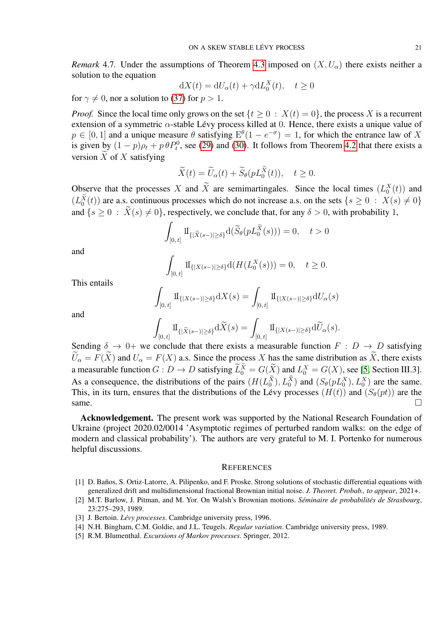*Remark* 4.7. Under the assumptions of Theorem [4.3](#page-19-0) imposed on  $(X, U_{\alpha})$  there exists neither a solution to the equation

$$
dX(t) = dU_{\alpha}(t) + \gamma dL_0^X(t), \quad t \ge 0
$$

for  $\gamma \neq 0$ , nor a solution to [\(37\)](#page-18-1) for  $p > 1$ .

*Proof.* Since the local time only grows on the set  $\{t \geq 0 : X(t) = 0\}$ , the process X is a recurrent extension of a symmetric  $\alpha$ -stable Lévy process killed at 0. Hence, there exists a unique value of  $p \in [0, 1]$  and a unique measure  $\theta$  satisfying  $E^{\theta}(1 - e^{-\sigma}) = 1$ , for which the entrance law of X is given by  $(1 - p)\rho_t + p\theta P_t^0$ , see [\(29\)](#page-14-1) and [\(30\)](#page-15-4). It follows from Theorem [4.2](#page-18-2) that there exists a version  $\tilde{X}$  of  $X$  satisfying

$$
\widetilde{X}(t) = \widetilde{U}_{\alpha}(t) + \widetilde{S}_{\theta}(pL_0^{\widetilde{X}}(t)), \quad t \ge 0.
$$

Observe that the processes X and X are semimartingales. Since the local times  $(L_0^X(t))$  and  $(L_0^X(t))$  are a.s. continuous processes which do not increase a.s. on the sets  $\{s \geq 0 : X(s) \neq 0\}$ and  $\{s \geq 0 : X(s) \neq 0\}$ , respectively, we conclude that, for any  $\delta > 0$ , with probability 1,

$$
\int_{[0,t]} \mathrm{1}\!\mathrm{I}_{\{|\widetilde{X}(s-)| \ge \delta\}} \mathrm{d}(\widetilde{S}_{\theta}(pL_0^{\widetilde{X}}(s))) = 0, \quad t > 0
$$

and

$$
\int_{[0,t]} \mathrm{1}_{\{|X(s-)| \ge \delta\}} \mathrm{d}(H(L_0^X(s))) = 0, \quad t \ge 0.
$$

This entails

$$
\int_{[0,t]} \mathrm{1}\!\mathrm{I}_{\{|X(s-)| \ge \delta\}} \mathrm{d}X(s) = \int_{[0,t]} \mathrm{1}\!\mathrm{I}_{\{|X(s-)| \ge \delta\}} \mathrm{d}U_{\alpha}(s)
$$

and

$$
\int_{[0,t]} \mathrm{1}\!\mathrm{I}_{\{|\widetilde{X}(s-)|\geq \delta\}}\mathrm{d}\widetilde{X}(s)=\int_{[0,t]} \mathrm{1}\!\mathrm{I}_{\{|X(s-)|\geq \delta\}}\mathrm{d}\widetilde{U}_{\alpha}(s).
$$

Sending  $\delta \to 0^+$  we conclude that there exists a measurable function  $F : D \to D$  satisfying  $\widetilde{U}_\alpha = F(\widetilde{X})$  and  $U_\alpha = F(X)$  a.s. Since the process X has the same distribution as  $\widetilde{X}$ , there exists a measurable function  $G: D \to D$  satisfying  $\tilde{L}_0^X = G(X)$  and  $L_0^X = G(X)$ , see [\[5,](#page-20-3) Section III.3]. As a consequence, the distributions of the pairs  $(H(L_0^X), L_0^X)$  and  $(S_{\theta}(pL_0^X), L_0^X)$  are the same. This, in its turn, ensures that the distributions of the Lévy processes  $(H(t))$  and  $(S_{\theta}(pt))$  are the same.  $\square$ 

Acknowledgement. The present work was supported by the National Research Foundation of Ukraine (project 2020.02/0014 'Asymptotic regimes of perturbed random walks: on the edge of modern and classical probability'). The authors are very grateful to M. I. Portenko for numerous helpful discussions.

### **REFERENCES**

- <span id="page-20-2"></span>[1] D. Baños, S. Ortiz-Latorre, A. Pilipenko, and F. Proske. Strong solutions of stochastic differential equations with generalized drift and multidimensional fractional Brownian initial noise. *J. Theoret. Probab., to appear*, 2021+.
- <span id="page-20-0"></span>[2] M.T. Barlow, J. Pitman, and M. Yor. On Walsh's Brownian motions. *Séminaire de probabilités de Strasbourg*, 23:275–293, 1989.
- <span id="page-20-1"></span>[3] J. Bertoin. *Lévy processes*. Cambridge university press, 1996.
- <span id="page-20-4"></span>[4] N.H. Bingham, C.M. Goldie, and J.L. Teugels. *Regular variation*. Cambridge university press, 1989.
- <span id="page-20-3"></span>[5] R.M. Blumenthal. *Excursions of Markov processes*. Springer, 2012.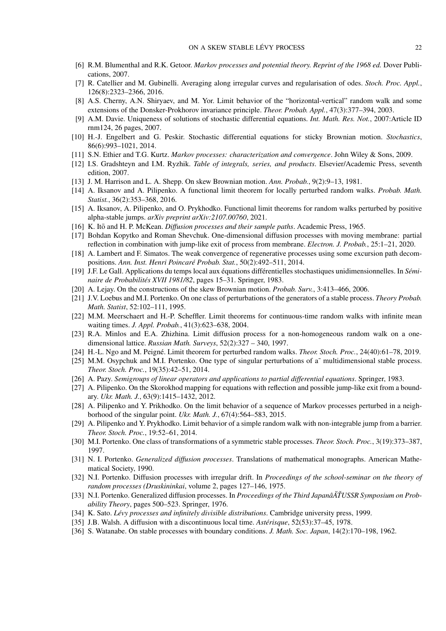- <span id="page-21-29"></span>[6] R.M. Blumenthal and R.K. Getoor. *Markov processes and potential theory. Reprint of the 1968 ed.* Dover Publications, 2007.
- <span id="page-21-16"></span>[7] R. Catellier and M. Gubinelli. Averaging along irregular curves and regularisation of odes. *Stoch. Proc. Appl.*, 126(8):2323–2366, 2016.
- <span id="page-21-18"></span>[8] A.S. Cherny, A.N. Shiryaev, and M. Yor. Limit behavior of the "horizontal-vertical" random walk and some extensions of the Donsker-Prokhorov invariance principle. *Theor. Probab. Appl.*, 47(3):377–394, 2003.
- <span id="page-21-21"></span>[9] A.M. Davie. Uniqueness of solutions of stochastic differential equations. *Int. Math. Res. Not.*, 2007:Article ID rnm124, 26 pages, 2007.
- <span id="page-21-19"></span>[10] H.-J. Engelbert and G. Peskir. Stochastic differential equations for sticky Brownian motion. *Stochastics*, 86(6):993–1021, 2014.
- <span id="page-21-25"></span>[11] S.N. Ethier and T.G. Kurtz. *Markov processes: characterization and convergence*. John Wiley & Sons, 2009.
- <span id="page-21-27"></span>[12] I.S. Gradshteyn and I.M. Ryzhik. *Table of integrals, series, and products*. Elsevier/Academic Press, seventh edition, 2007.
- <span id="page-21-3"></span>[13] J. M. Harrison and L. A. Shepp. On skew Brownian motion. *Ann. Probab.*, 9(2):9–13, 1981.
- <span id="page-21-4"></span>[14] A. Iksanov and A. Pilipenko. A functional limit theorem for locally perturbed random walks. *Probab. Math. Statist.*, 36(2):353–368, 2016.
- <span id="page-21-24"></span>[15] A. Iksanov, A. Pilipenko, and O. Prykhodko. Functional limit theorems for random walks perturbed by positive alpha-stable jumps. *arXiv preprint arXiv:2107.00760*, 2021.
- <span id="page-21-0"></span>[16] K. Itō and H. P. McKean. *Diffusion processes and their sample paths*. Academic Press, 1965.
- <span id="page-21-20"></span>[17] Bohdan Kopytko and Roman Shevchuk. One-dimensional diffusion processes with moving membrane: partial reflection in combination with jump-like exit of process from membrane. *Electron. J. Probab.*, 25:1–21, 2020.
- <span id="page-21-17"></span>[18] A. Lambert and F. Simatos. The weak convergence of regenerative processes using some excursion path decompositions. *Ann. Inst. Henri Poincaré Probab. Stat.*, 50(2):492–511, 2014.
- <span id="page-21-13"></span>[19] J.F. Le Gall. Applications du temps local aux équations différentielles stochastiques unidimensionnelles. In *Séminaire de Probabilités XVII 1981/82*, pages 15–31. Springer, 1983.
- <span id="page-21-9"></span>[20] A. Lejay. On the constructions of the skew Brownian motion. *Probab. Surv.*, 3:413–466, 2006.
- <span id="page-21-14"></span>[21] J.V. Loebus and M.I. Portenko. On one class of perturbations of the generators of a stable process. *Theory Probab. Math. Statist*, 52:102–111, 1995.
- <span id="page-21-28"></span>[22] M.M. Meerschaert and H.-P. Scheffler. Limit theorems for continuous-time random walks with infinite mean waiting times. *J. Appl. Probab.*, 41(3):623–638, 2004.
- <span id="page-21-5"></span>[23] R.A. Minlos and E.A. Zhizhina. Limit diffusion process for a non-homogeneous random walk on a onedimensional lattice. *Russian Math. Surveys*, 52(2):327 – 340, 1997.
- <span id="page-21-6"></span>[24] H.-L. Ngo and M. Peigné. Limit theorem for perturbed random walks. *Theor. Stoch. Proc.*, 24(40):61–78, 2019.
- <span id="page-21-15"></span>[25] M.M. Osypchuk and M.I. Portenko. One type of singular perturbations of a~multidimensional stable process. *Theor. Stoch. Proc.*, 19(35):42–51, 2014.
- <span id="page-21-26"></span>[26] A. Pazy. *Semigroups of linear operators and applications to partial differential equations*. Springer, 1983.
- <span id="page-21-22"></span>[27] A. Pilipenko. On the Skorokhod mapping for equations with reflection and possible jump-like exit from a boundary. *Ukr. Math. J.*, 63(9):1415–1432, 2012.
- <span id="page-21-7"></span>[28] A. Pilipenko and Y. Prikhodko. On the limit behavior of a sequence of Markov processes perturbed in a neighborhood of the singular point. *Ukr. Math. J.*, 67(4):564–583, 2015.
- <span id="page-21-23"></span>[29] A. Pilipenko and Y. Prykhodko. Limit behavior of a simple random walk with non-integrable jump from a barrier. *Theor. Stoch. Proc.*, 19:52–61, 2014.
- <span id="page-21-12"></span>[30] M.I. Portenko. One class of transformations of a symmetric stable processes. *Theor. Stoch. Proc.*, 3(19):373–387, 1997.
- <span id="page-21-1"></span>[31] N. I. Portenko. *Generalized diffusion processes*. Translations of mathematical monographs. American Mathematical Society, 1990.
- <span id="page-21-2"></span>[32] N.I. Portenko. Diffusion processes with irregular drift. In *Proceedings of the school-seminar on the theory of random processes (Druskininkai*, volume 2, pages 127–146, 1975.
- <span id="page-21-30"></span>[33] N.I. Portenko. Generalized diffusion processes. In *Proceedings of the Third JapanâA˘TUSSR Symposium on Prob- ˇ ability Theory*, pages 500–523. Springer, 1976.
- <span id="page-21-10"></span>[34] K. Sato. *Lévy processes and infinitely divisible distributions*. Cambridge university press, 1999.
- <span id="page-21-8"></span>[35] J.B. Walsh. A diffusion with a discontinuous local time. *Astérisque*, 52(53):37–45, 1978.
- <span id="page-21-11"></span>[36] S. Watanabe. On stable processes with boundary conditions. *J. Math. Soc. Japan*, 14(2):170–198, 1962.